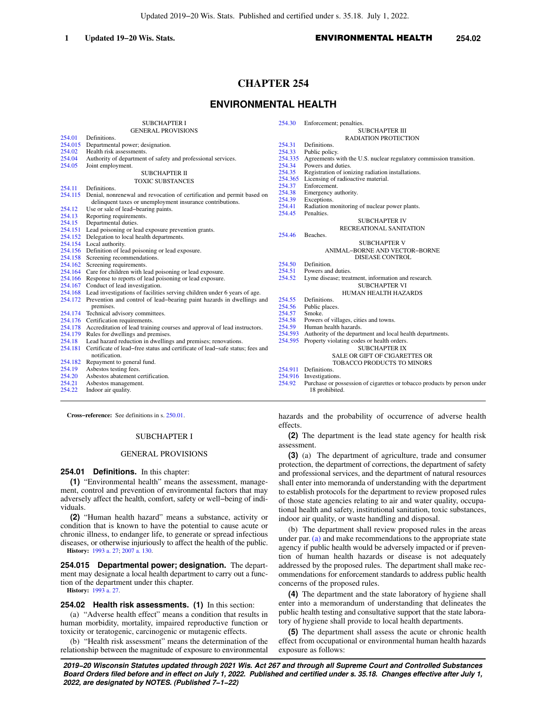Updated 2019−20 Wis. Stats. Published and certified under s. 35.18. July 1, 2022.

### **1 Updated 19−20 Wis. Stats.** ENVIRONMENTAL HEALTH **254.02**

# **CHAPTER 254**

# **ENVIRONMENTAL HEALTH**

|         | <b>SUBCHAPTER I</b>                                                      | 254.30  | Enforcement; penalties.                                            |
|---------|--------------------------------------------------------------------------|---------|--------------------------------------------------------------------|
|         | <b>GENERAL PROVISIONS</b>                                                |         | <b>SUBCHAPTER III</b>                                              |
| 254.01  | Definitions.                                                             |         | <b>RADIATION PROTECTION</b>                                        |
| 254.015 | Departmental power; designation.                                         | 254.31  | Definitions.                                                       |
| 254.02  | Health risk assessments.                                                 |         |                                                                    |
|         |                                                                          | 254.33  | Public policy.                                                     |
| 254.04  | Authority of department of safety and professional services.             | 254.335 | Agreements with the U.S. nuclear regulatory commission transition. |
| 254.05  | Joint employment.                                                        | 254.34  | Powers and duties.                                                 |
|         | SUBCHAPTER II                                                            | 254.35  | Registration of ionizing radiation installations.                  |
|         | <b>TOXIC SUBSTANCES</b>                                                  | 254.365 | Licensing of radioactive material.                                 |
| 254.11  | Definitions.                                                             | 254.37  | Enforcement.                                                       |
| 254.115 | Denial, nonrenewal and revocation of certification and permit based on   | 254.38  | Emergency authority.                                               |
|         | delinquent taxes or unemployment insurance contributions.                | 254.39  | Exceptions.                                                        |
| 254.12  | Use or sale of lead-bearing paints.                                      | 254.41  | Radiation monitoring of nuclear power plants.                      |
| 254.13  | Reporting requirements.                                                  | 254.45  | Penalties.                                                         |
| 254.15  | Departmental duties.                                                     |         | <b>SUBCHAPTER IV</b>                                               |
| 254.151 | Lead poisoning or lead exposure prevention grants.                       |         | RECREATIONAL SANITATION                                            |
| 254.152 | Delegation to local health departments.                                  | 254.46  | Beaches.                                                           |
| 254.154 | Local authority.                                                         |         | <b>SUBCHAPTER V</b>                                                |
| 254.156 | Definition of lead poisoning or lead exposure.                           |         | <b>ANIMAL-BORNE AND VECTOR-BORNE</b>                               |
| 254.158 | Screening recommendations.                                               |         | <b>DISEASE CONTROL</b>                                             |
| 254.162 | Screening requirements.                                                  | 254.50  | Definition.                                                        |
| 254.164 | Care for children with lead poisoning or lead exposure.                  | 254.51  | Powers and duties.                                                 |
|         | 254.166 Response to reports of lead poisoning or lead exposure.          | 254.52  | Lyme disease; treatment, information and research.                 |
| 254.167 | Conduct of lead investigation.                                           |         | <b>SUBCHAPTER VI</b>                                               |
|         |                                                                          |         |                                                                    |
| 254.168 | Lead investigations of facilities serving children under 6 years of age. |         | <b>HUMAN HEALTH HAZARDS</b>                                        |
| 254.172 | Prevention and control of lead-bearing paint hazards in dwellings and    | 254.55  | Definitions.                                                       |
|         | premises.                                                                | 254.56  | Public places.                                                     |
|         | 254.174 Technical advisory committees.                                   | 254.57  | Smoke.                                                             |

- [254.176](https://docs.legis.wisconsin.gov/document/statutes/254.176) Certification requirements.
- [254.178](https://docs.legis.wisconsin.gov/document/statutes/254.178) Accreditation of lead training courses and approval of lead instructors.<br>254.179 Rules for dwellings and premises.
- Rules for dwellings and premises.
- 
- [254.18](https://docs.legis.wisconsin.gov/document/statutes/254.18) Lead hazard reduction in dwellings and premises; renovations.<br>254.181 Certificate of lead–free status and certificate of lead–safe status [254.181](https://docs.legis.wisconsin.gov/document/statutes/254.181) Certificate of lead−free status and certificate of lead−safe status; fees and notification. [254.182](https://docs.legis.wisconsin.gov/document/statutes/254.182) Repayment to general fund.
- 
- [254.19](https://docs.legis.wisconsin.gov/document/statutes/254.19) Asbestos testing fees.<br>254.20 Asbestos abatement c
- [254.20](https://docs.legis.wisconsin.gov/document/statutes/254.20) Asbestos abatement certification.
- [254.21](https://docs.legis.wisconsin.gov/document/statutes/254.21) Asbestos management.<br>254.22 Indoor air quality. Indoor air quality.
- 

**Cross−reference:** See definitions in s. [250.01](https://docs.legis.wisconsin.gov/document/statutes/250.01).

### SUBCHAPTER I

#### GENERAL PROVISIONS

**254.01 Definitions.** In this chapter:

**(1)** "Environmental health" means the assessment, management, control and prevention of environmental factors that may adversely affect the health, comfort, safety or well−being of individuals.

**(2)** "Human health hazard" means a substance, activity or condition that is known to have the potential to cause acute or chronic illness, to endanger life, to generate or spread infectious diseases, or otherwise injuriously to affect the health of the public. **History:** [1993 a. 27;](https://docs.legis.wisconsin.gov/document/acts/1993/27) [2007 a. 130.](https://docs.legis.wisconsin.gov/document/acts/2007/130)

**254.015 Departmental power; designation.** The department may designate a local health department to carry out a function of the department under this chapter. **History:** [1993 a. 27.](https://docs.legis.wisconsin.gov/document/acts/1993/27)

#### **254.02 Health risk assessments. (1)** In this section:

(a) "Adverse health effect" means a condition that results in human morbidity, mortality, impaired reproductive function or toxicity or teratogenic, carcinogenic or mutagenic effects.

(b) "Health risk assessment" means the determination of the relationship between the magnitude of exposure to environmental

CHAPTER V **E AND VECTOR-BORNE SE CONTROL** 1formation and research. CHAPTER VI EALTH HAZARDS [254.58](https://docs.legis.wisconsin.gov/document/statutes/254.58) Powers of villages, cities and towns. [254.59](https://docs.legis.wisconsin.gov/document/statutes/254.59) Human health hazards.<br>254.593 Authority of the depart Authority of the department and local health departments. [254.595](https://docs.legis.wisconsin.gov/document/statutes/254.595) Property violating codes or health orders. SUBCHAPTER IX

- SALE OR GIFT OF CIGARETTES OR TOBACCO PRODUCTS TO MINORS
- [254.911](https://docs.legis.wisconsin.gov/document/statutes/254.911) Definitions.
- [254.916](https://docs.legis.wisconsin.gov/document/statutes/254.916) Investigations.<br>254.92 Purchase or no
- Purchase or possession of cigarettes or tobacco products by person under 18 prohibited.

hazards and the probability of occurrence of adverse health effects.

**(2)** The department is the lead state agency for health risk assessment.

**(3)** (a) The department of agriculture, trade and consumer protection, the department of corrections, the department of safety and professional services, and the department of natural resources shall enter into memoranda of understanding with the department to establish protocols for the department to review proposed rules of those state agencies relating to air and water quality, occupational health and safety, institutional sanitation, toxic substances, indoor air quality, or waste handling and disposal.

(b) The department shall review proposed rules in the areas under par. [\(a\)](https://docs.legis.wisconsin.gov/document/statutes/254.02(3)(a)) and make recommendations to the appropriate state agency if public health would be adversely impacted or if prevention of human health hazards or disease is not adequately addressed by the proposed rules. The department shall make recommendations for enforcement standards to address public health concerns of the proposed rules.

**(4)** The department and the state laboratory of hygiene shall enter into a memorandum of understanding that delineates the public health testing and consultative support that the state laboratory of hygiene shall provide to local health departments.

**(5)** The department shall assess the acute or chronic health effect from occupational or environmental human health hazards exposure as follows: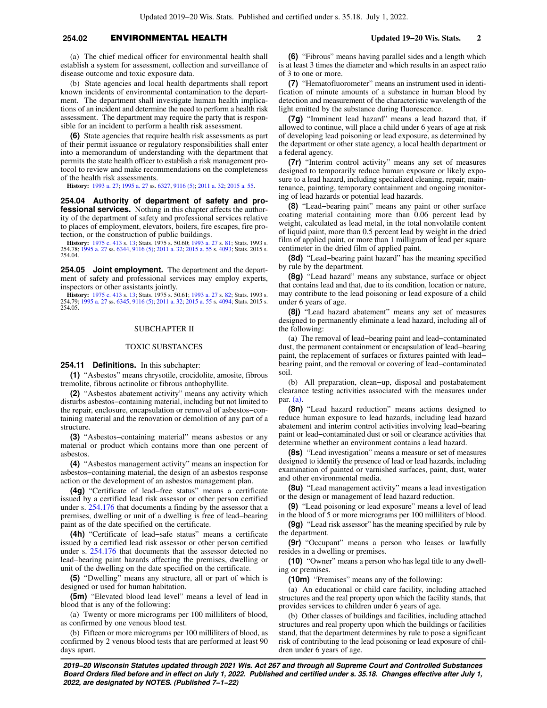## **254.02** ENVIRONMENTAL HEALTH **Updated 19−20 Wis. Stats. 2**

(a) The chief medical officer for environmental health shall establish a system for assessment, collection and surveillance of disease outcome and toxic exposure data.

(b) State agencies and local health departments shall report known incidents of environmental contamination to the department. The department shall investigate human health implications of an incident and determine the need to perform a health risk assessment. The department may require the party that is responsible for an incident to perform a health risk assessment.

**(6)** State agencies that require health risk assessments as part of their permit issuance or regulatory responsibilities shall enter into a memorandum of understanding with the department that permits the state health officer to establish a risk management protocol to review and make recommendations on the completeness of the health risk assessments.

**History:** [1993 a. 27;](https://docs.legis.wisconsin.gov/document/acts/1993/27) [1995 a. 27](https://docs.legis.wisconsin.gov/document/acts/1995/27) ss. [6327,](https://docs.legis.wisconsin.gov/document/acts/1995/27,%20s.%206327) [9116 \(5\);](https://docs.legis.wisconsin.gov/document/acts/1995/27,%20s.%209116) [2011 a. 32;](https://docs.legis.wisconsin.gov/document/acts/2011/32) [2015 a. 55](https://docs.legis.wisconsin.gov/document/acts/2015/55).

**254.04 Authority of department of safety and professional services.** Nothing in this chapter affects the authority of the department of safety and professional services relative to places of employment, elevators, boilers, fire escapes, fire protection, or the construction of public buildings.

**History:** [1975 c. 413](https://docs.legis.wisconsin.gov/document/acts/1975/413) s. [13;](https://docs.legis.wisconsin.gov/document/acts/1975/413,%20s.%2013) Stats. 1975 s. 50.60; [1993 a. 27](https://docs.legis.wisconsin.gov/document/acts/1993/27) s. [81;](https://docs.legis.wisconsin.gov/document/acts/1993/27,%20s.%2081) Stats. 1993 s. 254.78; [1995 a. 27](https://docs.legis.wisconsin.gov/document/acts/1995/27) ss. [6344,](https://docs.legis.wisconsin.gov/document/acts/1995/27,%20s.%206344) [9116 \(5\);](https://docs.legis.wisconsin.gov/document/acts/1995/27,%20s.%209116) [2011 a. 32](https://docs.legis.wisconsin.gov/document/acts/2011/32); [2015 a. 55](https://docs.legis.wisconsin.gov/document/acts/2015/55) s. [4093](https://docs.legis.wisconsin.gov/document/acts/2015/55,%20s.%204093); Stats. 2015 s. 254.04.

**254.05 Joint employment.** The department and the department of safety and professional services may employ experts, inspectors or other assistants jointly.

**History:** [1975 c. 413](https://docs.legis.wisconsin.gov/document/acts/1975/413) s. [13;](https://docs.legis.wisconsin.gov/document/acts/1975/413,%20s.%2013) Stats. 1975 s. 50.61; [1993 a. 27](https://docs.legis.wisconsin.gov/document/acts/1993/27) s. [82;](https://docs.legis.wisconsin.gov/document/acts/1993/27,%20s.%2082) Stats. 1993 s. 254.79; [1995 a. 27](https://docs.legis.wisconsin.gov/document/acts/1995/27) ss. [6345,](https://docs.legis.wisconsin.gov/document/acts/1995/27,%20s.%206345) [9116 \(5\);](https://docs.legis.wisconsin.gov/document/acts/1995/27,%20s.%209116) [2011 a. 32](https://docs.legis.wisconsin.gov/document/acts/2011/32); [2015 a. 55](https://docs.legis.wisconsin.gov/document/acts/2015/55) s. [4094](https://docs.legis.wisconsin.gov/document/acts/2015/55,%20s.%204094); Stats. 2015 s. 254.05.

#### SUBCHAPTER II

#### TOXIC SUBSTANCES

**254.11 Definitions.** In this subchapter:

**(1)** "Asbestos" means chrysotile, crocidolite, amosite, fibrous tremolite, fibrous actinolite or fibrous anthophyllite.

**(2)** "Asbestos abatement activity" means any activity which disturbs asbestos−containing material, including but not limited to the repair, enclosure, encapsulation or removal of asbestos−containing material and the renovation or demolition of any part of a structure.

**(3)** "Asbestos−containing material" means asbestos or any material or product which contains more than one percent of asbestos.

**(4)** "Asbestos management activity" means an inspection for asbestos−containing material, the design of an asbestos response action or the development of an asbestos management plan.

**(4g)** "Certificate of lead−free status" means a certificate issued by a certified lead risk assessor or other person certified under s. [254.176](https://docs.legis.wisconsin.gov/document/statutes/254.176) that documents a finding by the assessor that a premises, dwelling or unit of a dwelling is free of lead−bearing paint as of the date specified on the certificate.

**(4h)** "Certificate of lead−safe status" means a certificate issued by a certified lead risk assessor or other person certified under s. [254.176](https://docs.legis.wisconsin.gov/document/statutes/254.176) that documents that the assessor detected no lead−bearing paint hazards affecting the premises, dwelling or unit of the dwelling on the date specified on the certificate.

**(5)** "Dwelling" means any structure, all or part of which is designed or used for human habitation.

**(5m)** "Elevated blood lead level" means a level of lead in blood that is any of the following:

(a) Twenty or more micrograms per 100 milliliters of blood, as confirmed by one venous blood test.

(b) Fifteen or more micrograms per 100 milliliters of blood, as confirmed by 2 venous blood tests that are performed at least 90 days apart.

**(6)** "Fibrous" means having parallel sides and a length which is at least 3 times the diameter and which results in an aspect ratio of 3 to one or more.

**(7)** "Hematofluorometer" means an instrument used in identification of minute amounts of a substance in human blood by detection and measurement of the characteristic wavelength of the light emitted by the substance during fluorescence.

**(7g)** "Imminent lead hazard" means a lead hazard that, if allowed to continue, will place a child under 6 years of age at risk of developing lead poisoning or lead exposure, as determined by the department or other state agency, a local health department or a federal agency.

**(7r)** "Interim control activity" means any set of measures designed to temporarily reduce human exposure or likely exposure to a lead hazard, including specialized cleaning, repair, maintenance, painting, temporary containment and ongoing monitoring of lead hazards or potential lead hazards.

**(8)** "Lead−bearing paint" means any paint or other surface coating material containing more than 0.06 percent lead by weight, calculated as lead metal, in the total nonvolatile content of liquid paint, more than 0.5 percent lead by weight in the dried film of applied paint, or more than 1 milligram of lead per square centimeter in the dried film of applied paint.

**(8d)** "Lead−bearing paint hazard" has the meaning specified by rule by the department.

**(8g)** "Lead hazard" means any substance, surface or object that contains lead and that, due to its condition, location or nature, may contribute to the lead poisoning or lead exposure of a child under 6 years of age.

**(8j)** "Lead hazard abatement" means any set of measures designed to permanently eliminate a lead hazard, including all of the following:

(a) The removal of lead−bearing paint and lead−contaminated dust, the permanent containment or encapsulation of lead−bearing paint, the replacement of surfaces or fixtures painted with lead− bearing paint, and the removal or covering of lead−contaminated soil.

(b) All preparation, clean−up, disposal and postabatement clearance testing activities associated with the measures under par. [\(a\).](https://docs.legis.wisconsin.gov/document/statutes/254.11(8j)(a))

**(8n)** "Lead hazard reduction" means actions designed to reduce human exposure to lead hazards, including lead hazard abatement and interim control activities involving lead−bearing paint or lead−contaminated dust or soil or clearance activities that determine whether an environment contains a lead hazard.

**(8s)** "Lead investigation" means a measure or set of measures designed to identify the presence of lead or lead hazards, including examination of painted or varnished surfaces, paint, dust, water and other environmental media.

**(8u)** "Lead management activity" means a lead investigation or the design or management of lead hazard reduction.

**(9)** "Lead poisoning or lead exposure" means a level of lead in the blood of 5 or more micrograms per 100 milliliters of blood.

**(9g)** "Lead risk assessor" has the meaning specified by rule by the department.

**(9r)** "Occupant" means a person who leases or lawfully resides in a dwelling or premises.

**(10)** "Owner" means a person who has legal title to any dwelling or premises.

**(10m)** "Premises" means any of the following:

(a) An educational or child care facility, including attached structures and the real property upon which the facility stands, that provides services to children under 6 years of age.

(b) Other classes of buildings and facilities, including attached structures and real property upon which the buildings or facilities stand, that the department determines by rule to pose a significant risk of contributing to the lead poisoning or lead exposure of children under 6 years of age.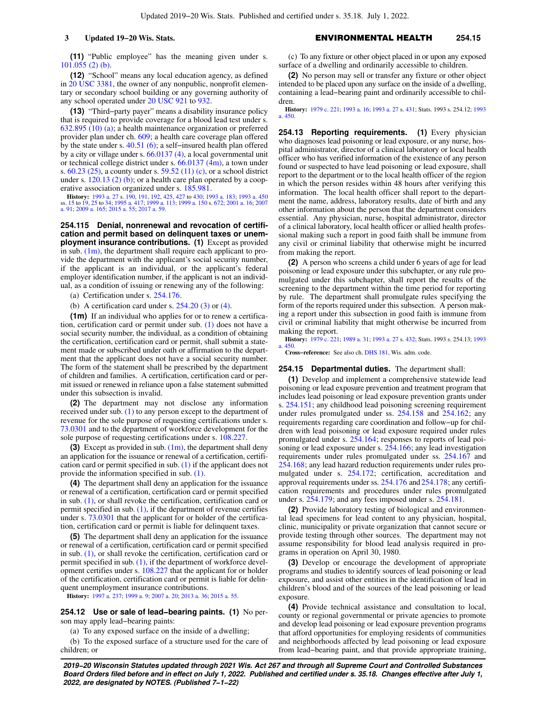**(11)** "Public employee" has the meaning given under s. [101.055 \(2\) \(b\).](https://docs.legis.wisconsin.gov/document/statutes/101.055(2)(b))

**(12)** "School" means any local education agency, as defined in [20 USC 3381](https://docs.legis.wisconsin.gov/document/usc/20%20USC%203381), the owner of any nonpublic, nonprofit elementary or secondary school building or any governing authority of any school operated under [20 USC 921](https://docs.legis.wisconsin.gov/document/usc/20%20USC%20921) to [932](https://docs.legis.wisconsin.gov/document/usc/20%20USC%20932).

**(13)** "Third−party payer" means a disability insurance policy that is required to provide coverage for a blood lead test under s. [632.895 \(10\) \(a\);](https://docs.legis.wisconsin.gov/document/statutes/632.895(10)(a)) a health maintenance organization or preferred provider plan under ch. [609](https://docs.legis.wisconsin.gov/document/statutes/ch.%20609); a health care coverage plan offered by the state under s. [40.51 \(6\);](https://docs.legis.wisconsin.gov/document/statutes/40.51(6)) a self−insured health plan offered by a city or village under s. [66.0137 \(4\),](https://docs.legis.wisconsin.gov/document/statutes/66.0137(4)) a local governmental unit or technical college district under s. [66.0137 \(4m\)](https://docs.legis.wisconsin.gov/document/statutes/66.0137(4m)), a town under s. [60.23 \(25\),](https://docs.legis.wisconsin.gov/document/statutes/60.23(25)) a county under s. [59.52 \(11\) \(c\)](https://docs.legis.wisconsin.gov/document/statutes/59.52(11)(c)), or a school district under s. [120.13 \(2\) \(b\);](https://docs.legis.wisconsin.gov/document/statutes/120.13(2)(b)) or a health care plan operated by a cooperative association organized under s. [185.981](https://docs.legis.wisconsin.gov/document/statutes/185.981).

**History:** [1993 a. 27](https://docs.legis.wisconsin.gov/document/acts/1993/27) s. [190](https://docs.legis.wisconsin.gov/document/acts/1993/27,%20s.%20190), [191](https://docs.legis.wisconsin.gov/document/acts/1993/27,%20s.%20191), [192](https://docs.legis.wisconsin.gov/document/acts/1993/27,%20s.%20192), [425](https://docs.legis.wisconsin.gov/document/acts/1993/27,%20s.%20425), [427](https://docs.legis.wisconsin.gov/document/acts/1993/27,%20s.%20427) to [430;](https://docs.legis.wisconsin.gov/document/acts/1993/27,%20s.%20430) [1993 a. 183](https://docs.legis.wisconsin.gov/document/acts/1993/183); [1993 a. 450](https://docs.legis.wisconsin.gov/document/acts/1993/450) ss. [15](https://docs.legis.wisconsin.gov/document/acts/1993/450,%20s.%2015) to [19,](https://docs.legis.wisconsin.gov/document/acts/1993/450,%20s.%2019) [25](https://docs.legis.wisconsin.gov/document/acts/1993/450,%20s.%2025) to [34;](https://docs.legis.wisconsin.gov/document/acts/1993/450,%20s.%2034) [1995 a. 417;](https://docs.legis.wisconsin.gov/document/acts/1995/417) [1999 a. 113](https://docs.legis.wisconsin.gov/document/acts/1999/113); [1999 a. 150](https://docs.legis.wisconsin.gov/document/acts/1999/150) s. [672](https://docs.legis.wisconsin.gov/document/acts/1999/150,%20s.%20672); [2001 a. 16;](https://docs.legis.wisconsin.gov/document/acts/2001/16) [2007](https://docs.legis.wisconsin.gov/document/acts/2007/91) [a. 91](https://docs.legis.wisconsin.gov/document/acts/2007/91); [2009 a. 165](https://docs.legis.wisconsin.gov/document/acts/2009/165); [2015 a. 55](https://docs.legis.wisconsin.gov/document/acts/2015/55); [2017 a. 59](https://docs.legis.wisconsin.gov/document/acts/2017/59).

**254.115 Denial, nonrenewal and revocation of certification and permit based on delinquent taxes or unemployment insurance contributions. (1)** Except as provided in sub.  $(1m)$ , the department shall require each applicant to provide the department with the applicant's social security number, if the applicant is an individual, or the applicant's federal employer identification number, if the applicant is not an individual, as a condition of issuing or renewing any of the following:

(a) Certification under s. [254.176](https://docs.legis.wisconsin.gov/document/statutes/254.176).

(b) A certification card under s.  $254.20$  (3) or [\(4\).](https://docs.legis.wisconsin.gov/document/statutes/254.20(4))

**(1m)** If an individual who applies for or to renew a certification, certification card or permit under sub. [\(1\)](https://docs.legis.wisconsin.gov/document/statutes/254.115(1)) does not have a social security number, the individual, as a condition of obtaining the certification, certification card or permit, shall submit a statement made or subscribed under oath or affirmation to the department that the applicant does not have a social security number. The form of the statement shall be prescribed by the department of children and families. A certification, certification card or permit issued or renewed in reliance upon a false statement submitted under this subsection is invalid.

**(2)** The department may not disclose any information received under sub. [\(1\)](https://docs.legis.wisconsin.gov/document/statutes/254.115(1)) to any person except to the department of revenue for the sole purpose of requesting certifications under s. [73.0301](https://docs.legis.wisconsin.gov/document/statutes/73.0301) and to the department of workforce development for the sole purpose of requesting certifications under s. [108.227](https://docs.legis.wisconsin.gov/document/statutes/108.227).

**(3)** Except as provided in sub. [\(1m\),](https://docs.legis.wisconsin.gov/document/statutes/254.115(1m)) the department shall deny an application for the issuance or renewal of a certification, certification card or permit specified in sub. [\(1\)](https://docs.legis.wisconsin.gov/document/statutes/254.115(1)) if the applicant does not provide the information specified in sub. [\(1\).](https://docs.legis.wisconsin.gov/document/statutes/254.115(1))

**(4)** The department shall deny an application for the issuance or renewal of a certification, certification card or permit specified in sub. [\(1\)](https://docs.legis.wisconsin.gov/document/statutes/254.115(1)), or shall revoke the certification, certification card or permit specified in sub.  $(1)$ , if the department of revenue certifies under s. [73.0301](https://docs.legis.wisconsin.gov/document/statutes/73.0301) that the applicant for or holder of the certification, certification card or permit is liable for delinquent taxes.

**(5)** The department shall deny an application for the issuance or renewal of a certification, certification card or permit specified in sub. [\(1\)](https://docs.legis.wisconsin.gov/document/statutes/254.115(1)), or shall revoke the certification, certification card or permit specified in sub. [\(1\)](https://docs.legis.wisconsin.gov/document/statutes/254.115(1)), if the department of workforce development certifies under s. [108.227](https://docs.legis.wisconsin.gov/document/statutes/108.227) that the applicant for or holder of the certification, certification card or permit is liable for delinquent unemployment insurance contributions.

**History:** [1997 a. 237](https://docs.legis.wisconsin.gov/document/acts/1997/237); [1999 a. 9;](https://docs.legis.wisconsin.gov/document/acts/1999/9) [2007 a. 20](https://docs.legis.wisconsin.gov/document/acts/2007/20); [2013 a. 36](https://docs.legis.wisconsin.gov/document/acts/2013/36); [2015 a. 55](https://docs.legis.wisconsin.gov/document/acts/2015/55).

**254.12 Use or sale of lead−bearing paints. (1)** No person may apply lead−bearing paints:

(a) To any exposed surface on the inside of a dwelling;

(b) To the exposed surface of a structure used for the care of children; or

(c) To any fixture or other object placed in or upon any exposed surface of a dwelling and ordinarily accessible to children.

**(2)** No person may sell or transfer any fixture or other object intended to be placed upon any surface on the inside of a dwelling, containing a lead−bearing paint and ordinarily accessible to children.

**History:** [1979 c. 221](https://docs.legis.wisconsin.gov/document/acts/1979/221); [1993 a. 16](https://docs.legis.wisconsin.gov/document/acts/1993/16); [1993 a. 27](https://docs.legis.wisconsin.gov/document/acts/1993/27) s. [431;](https://docs.legis.wisconsin.gov/document/acts/1993/27,%20s.%20431) Stats. 1993 s. 254.12; [1993](https://docs.legis.wisconsin.gov/document/acts/1993/450) [a. 450](https://docs.legis.wisconsin.gov/document/acts/1993/450).

**254.13 Reporting requirements. (1)** Every physician who diagnoses lead poisoning or lead exposure, or any nurse, hospital administrator, director of a clinical laboratory or local health officer who has verified information of the existence of any person found or suspected to have lead poisoning or lead exposure, shall report to the department or to the local health officer of the region in which the person resides within 48 hours after verifying this information. The local health officer shall report to the department the name, address, laboratory results, date of birth and any other information about the person that the department considers essential. Any physician, nurse, hospital administrator, director of a clinical laboratory, local health officer or allied health professional making such a report in good faith shall be immune from any civil or criminal liability that otherwise might be incurred from making the report.

**(2)** A person who screens a child under 6 years of age for lead poisoning or lead exposure under this subchapter, or any rule promulgated under this subchapter, shall report the results of the screening to the department within the time period for reporting by rule. The department shall promulgate rules specifying the form of the reports required under this subsection. A person making a report under this subsection in good faith is immune from civil or criminal liability that might otherwise be incurred from making the report.

**History:** [1979 c. 221](https://docs.legis.wisconsin.gov/document/acts/1979/221); [1989 a. 31](https://docs.legis.wisconsin.gov/document/acts/1989/31); [1993 a. 27](https://docs.legis.wisconsin.gov/document/acts/1993/27) s. [432;](https://docs.legis.wisconsin.gov/document/acts/1993/27,%20s.%20432) Stats. 1993 s. 254.13; [1993](https://docs.legis.wisconsin.gov/document/acts/1993/450) [a. 450](https://docs.legis.wisconsin.gov/document/acts/1993/450).

**Cross−reference:** See also ch. [DHS 181,](https://docs.legis.wisconsin.gov/document/administrativecode/ch.%20DHS%20181) Wis. adm. code.

# **254.15 Departmental duties.** The department shall:

**(1)** Develop and implement a comprehensive statewide lead poisoning or lead exposure prevention and treatment program that includes lead poisoning or lead exposure prevention grants under s. [254.151;](https://docs.legis.wisconsin.gov/document/statutes/254.151) any childhood lead poisoning screening requirement under rules promulgated under ss. [254.158](https://docs.legis.wisconsin.gov/document/statutes/254.158) and [254.162;](https://docs.legis.wisconsin.gov/document/statutes/254.162) any requirements regarding care coordination and follow−up for children with lead poisoning or lead exposure required under rules promulgated under s. [254.164](https://docs.legis.wisconsin.gov/document/statutes/254.164); responses to reports of lead poisoning or lead exposure under s. [254.166](https://docs.legis.wisconsin.gov/document/statutes/254.166); any lead investigation requirements under rules promulgated under ss. [254.167](https://docs.legis.wisconsin.gov/document/statutes/254.167) and [254.168](https://docs.legis.wisconsin.gov/document/statutes/254.168); any lead hazard reduction requirements under rules promulgated under s. [254.172;](https://docs.legis.wisconsin.gov/document/statutes/254.172) certification, accreditation and approval requirements under ss. [254.176](https://docs.legis.wisconsin.gov/document/statutes/254.176) and [254.178](https://docs.legis.wisconsin.gov/document/statutes/254.178); any certification requirements and procedures under rules promulgated under s. [254.179](https://docs.legis.wisconsin.gov/document/statutes/254.179); and any fees imposed under s. [254.181](https://docs.legis.wisconsin.gov/document/statutes/254.181).

**(2)** Provide laboratory testing of biological and environmental lead specimens for lead content to any physician, hospital, clinic, municipality or private organization that cannot secure or provide testing through other sources. The department may not assume responsibility for blood lead analysis required in programs in operation on April 30, 1980.

**(3)** Develop or encourage the development of appropriate programs and studies to identify sources of lead poisoning or lead exposure, and assist other entities in the identification of lead in children's blood and of the sources of the lead poisoning or lead exposure.

**(4)** Provide technical assistance and consultation to local, county or regional governmental or private agencies to promote and develop lead poisoning or lead exposure prevention programs that afford opportunities for employing residents of communities and neighborhoods affected by lead poisoning or lead exposure from lead−bearing paint, and that provide appropriate training,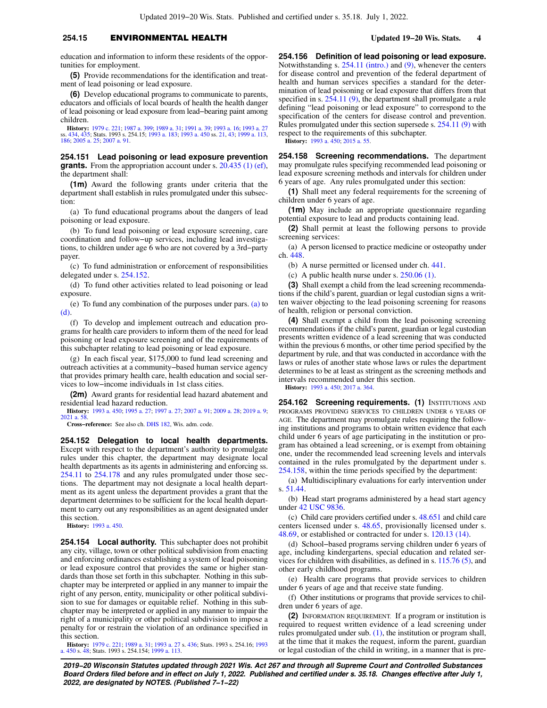## **254.15** ENVIRONMENTAL HEALTH **Updated 19−20 Wis. Stats. 4**

education and information to inform these residents of the opportunities for employment.

**(5)** Provide recommendations for the identification and treatment of lead poisoning or lead exposure.

**(6)** Develop educational programs to communicate to parents, educators and officials of local boards of health the health danger of lead poisoning or lead exposure from lead−bearing paint among children.

**History:** [1979 c. 221](https://docs.legis.wisconsin.gov/document/acts/1979/221); [1987 a. 399](https://docs.legis.wisconsin.gov/document/acts/1987/399); [1989 a. 31](https://docs.legis.wisconsin.gov/document/acts/1989/31); [1991 a. 39;](https://docs.legis.wisconsin.gov/document/acts/1991/39) [1993 a. 16;](https://docs.legis.wisconsin.gov/document/acts/1993/16) [1993 a. 27](https://docs.legis.wisconsin.gov/document/acts/1993/27) ss. [434](https://docs.legis.wisconsin.gov/document/acts/1993/27,%20s.%20434), [435;](https://docs.legis.wisconsin.gov/document/acts/1993/27,%20s.%20435) Stats. 1993 s. 254.15; [1993 a. 183;](https://docs.legis.wisconsin.gov/document/acts/1993/183) [1993 a. 450](https://docs.legis.wisconsin.gov/document/acts/1993/450) ss. [21](https://docs.legis.wisconsin.gov/document/acts/1993/450,%20s.%2021), [43](https://docs.legis.wisconsin.gov/document/acts/1993/450,%20s.%2043); [1999 a. 113](https://docs.legis.wisconsin.gov/document/acts/1999/113), [186](https://docs.legis.wisconsin.gov/document/acts/1999/186); [2005 a. 25](https://docs.legis.wisconsin.gov/document/acts/2005/25); [2007 a. 91.](https://docs.legis.wisconsin.gov/document/acts/2007/91)

**254.151 Lead poisoning or lead exposure prevention grants.** From the appropriation account under s. [20.435 \(1\) \(ef\),](https://docs.legis.wisconsin.gov/document/statutes/20.435(1)(ef)) the department shall:

**(1m)** Award the following grants under criteria that the department shall establish in rules promulgated under this subsection:

(a) To fund educational programs about the dangers of lead poisoning or lead exposure.

(b) To fund lead poisoning or lead exposure screening, care coordination and follow−up services, including lead investigations, to children under age 6 who are not covered by a 3rd−party payer.

(c) To fund administration or enforcement of responsibilities delegated under s. [254.152](https://docs.legis.wisconsin.gov/document/statutes/254.152).

(d) To fund other activities related to lead poisoning or lead exposure.

(e) To fund any combination of the purposes under pars. [\(a\)](https://docs.legis.wisconsin.gov/document/statutes/254.151(1m)(a)) to [\(d\)](https://docs.legis.wisconsin.gov/document/statutes/254.151(1m)(d)).

(f) To develop and implement outreach and education programs for health care providers to inform them of the need for lead poisoning or lead exposure screening and of the requirements of this subchapter relating to lead poisoning or lead exposure.

(g) In each fiscal year, \$175,000 to fund lead screening and outreach activities at a community−based human service agency that provides primary health care, health education and social services to low−income individuals in 1st class cities.

**(2m)** Award grants for residential lead hazard abatement and residential lead hazard reduction.

**History:** [1993 a. 450](https://docs.legis.wisconsin.gov/document/acts/1993/450); [1995 a. 27](https://docs.legis.wisconsin.gov/document/acts/1995/27); [1997 a. 27](https://docs.legis.wisconsin.gov/document/acts/1997/27); [2007 a. 91](https://docs.legis.wisconsin.gov/document/acts/2007/91); [2009 a. 28;](https://docs.legis.wisconsin.gov/document/acts/2009/28) [2019 a. 9](https://docs.legis.wisconsin.gov/document/acts/2019/9); [2021 a. 58](https://docs.legis.wisconsin.gov/document/acts/2021/58).

**Cross−reference:** See also ch. [DHS 182](https://docs.legis.wisconsin.gov/document/administrativecode/ch.%20DHS%20182), Wis. adm. code.

**254.152 Delegation to local health departments.** Except with respect to the department's authority to promulgate rules under this chapter, the department may designate local health departments as its agents in administering and enforcing ss. [254.11](https://docs.legis.wisconsin.gov/document/statutes/254.11) to [254.178](https://docs.legis.wisconsin.gov/document/statutes/254.178) and any rules promulgated under those sections. The department may not designate a local health department as its agent unless the department provides a grant that the department determines to be sufficient for the local health department to carry out any responsibilities as an agent designated under this section.

**History:** [1993 a. 450](https://docs.legis.wisconsin.gov/document/acts/1993/450).

**254.154 Local authority.** This subchapter does not prohibit any city, village, town or other political subdivision from enacting and enforcing ordinances establishing a system of lead poisoning or lead exposure control that provides the same or higher standards than those set forth in this subchapter. Nothing in this subchapter may be interpreted or applied in any manner to impair the right of any person, entity, municipality or other political subdivision to sue for damages or equitable relief. Nothing in this subchapter may be interpreted or applied in any manner to impair the right of a municipality or other political subdivision to impose a penalty for or restrain the violation of an ordinance specified in this section.

**History:** [1979 c. 221](https://docs.legis.wisconsin.gov/document/acts/1979/221); [1989 a. 31](https://docs.legis.wisconsin.gov/document/acts/1989/31); [1993 a. 27](https://docs.legis.wisconsin.gov/document/acts/1993/27) s. [436;](https://docs.legis.wisconsin.gov/document/acts/1993/27,%20s.%20436) Stats. 1993 s. 254.16; [1993](https://docs.legis.wisconsin.gov/document/acts/1993/450) [a. 450](https://docs.legis.wisconsin.gov/document/acts/1993/450) s. [48;](https://docs.legis.wisconsin.gov/document/acts/1993/450,%20s.%2048) Stats. 1993 s. 254.154; [1999 a. 113.](https://docs.legis.wisconsin.gov/document/acts/1999/113)

**254.156 Definition of lead poisoning or lead exposure.** Notwithstanding s. [254.11 \(intro.\)](https://docs.legis.wisconsin.gov/document/statutes/254.11(intro.)) and [\(9\)](https://docs.legis.wisconsin.gov/document/statutes/254.11(9)), whenever the centers for disease control and prevention of the federal department of health and human services specifies a standard for the determination of lead poisoning or lead exposure that differs from that specified in s. [254.11 \(9\)](https://docs.legis.wisconsin.gov/document/statutes/254.11(9)), the department shall promulgate a rule defining "lead poisoning or lead exposure" to correspond to the specification of the centers for disease control and prevention. Rules promulgated under this section supersede s. [254.11 \(9\)](https://docs.legis.wisconsin.gov/document/statutes/254.11(9)) with respect to the requirements of this subchapter.

**History:** [1993 a. 450;](https://docs.legis.wisconsin.gov/document/acts/1993/450) [2015 a. 55.](https://docs.legis.wisconsin.gov/document/acts/2015/55)

**254.158 Screening recommendations.** The department may promulgate rules specifying recommended lead poisoning or lead exposure screening methods and intervals for children under 6 years of age. Any rules promulgated under this section:

**(1)** Shall meet any federal requirements for the screening of children under 6 years of age.

**(1m)** May include an appropriate questionnaire regarding potential exposure to lead and products containing lead.

**(2)** Shall permit at least the following persons to provide screening services:

(a) A person licensed to practice medicine or osteopathy under ch. [448.](https://docs.legis.wisconsin.gov/document/statutes/ch.%20448)

(b) A nurse permitted or licensed under ch. [441.](https://docs.legis.wisconsin.gov/document/statutes/ch.%20441)

(c) A public health nurse under s.  $250.06$  (1).

**(3)** Shall exempt a child from the lead screening recommendations if the child's parent, guardian or legal custodian signs a written waiver objecting to the lead poisoning screening for reasons of health, religion or personal conviction.

**(4)** Shall exempt a child from the lead poisoning screening recommendations if the child's parent, guardian or legal custodian presents written evidence of a lead screening that was conducted within the previous 6 months, or other time period specified by the department by rule, and that was conducted in accordance with the laws or rules of another state whose laws or rules the department determines to be at least as stringent as the screening methods and intervals recommended under this section.

**History:** [1993 a. 450;](https://docs.legis.wisconsin.gov/document/acts/1993/450) [2017 a. 364](https://docs.legis.wisconsin.gov/document/acts/2017/364).

**254.162 Screening requirements. (1) INSTITUTIONS AND** PROGRAMS PROVIDING SERVICES TO CHILDREN UNDER 6 YEARS OF AGE. The department may promulgate rules requiring the following institutions and programs to obtain written evidence that each child under 6 years of age participating in the institution or program has obtained a lead screening, or is exempt from obtaining one, under the recommended lead screening levels and intervals contained in the rules promulgated by the department under s. [254.158](https://docs.legis.wisconsin.gov/document/statutes/254.158), within the time periods specified by the department:

(a) Multidisciplinary evaluations for early intervention under s. [51.44](https://docs.legis.wisconsin.gov/document/statutes/51.44).

(b) Head start programs administered by a head start agency under [42 USC 9836](https://docs.legis.wisconsin.gov/document/usc/42%20USC%209836).

(c) Child care providers certified under s. [48.651](https://docs.legis.wisconsin.gov/document/statutes/48.651) and child care centers licensed under s. [48.65](https://docs.legis.wisconsin.gov/document/statutes/48.65), provisionally licensed under s. [48.69](https://docs.legis.wisconsin.gov/document/statutes/48.69), or established or contracted for under s. [120.13 \(14\)](https://docs.legis.wisconsin.gov/document/statutes/120.13(14)).

(d) School−based programs serving children under 6 years of age, including kindergartens, special education and related services for children with disabilities, as defined in s. [115.76 \(5\)](https://docs.legis.wisconsin.gov/document/statutes/115.76(5)), and other early childhood programs.

(e) Health care programs that provide services to children under 6 years of age and that receive state funding.

(f) Other institutions or programs that provide services to children under 6 years of age.

**(2)** INFORMATION REQUIREMENT. If a program or institution is required to request written evidence of a lead screening under rules promulgated under sub. [\(1\)](https://docs.legis.wisconsin.gov/document/statutes/254.162(1)), the institution or program shall, at the time that it makes the request, inform the parent, guardian or legal custodian of the child in writing, in a manner that is pre-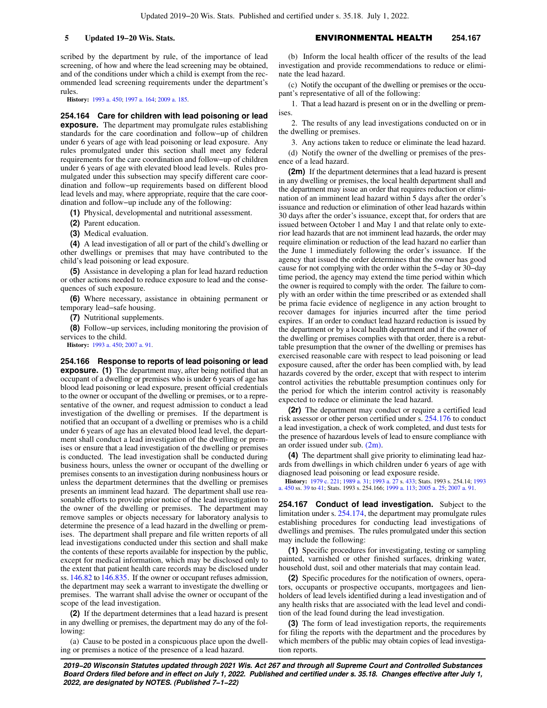scribed by the department by rule, of the importance of lead screening, of how and where the lead screening may be obtained, and of the conditions under which a child is exempt from the recommended lead screening requirements under the department's rules.

**History:** [1993 a. 450](https://docs.legis.wisconsin.gov/document/acts/1993/450); [1997 a. 164](https://docs.legis.wisconsin.gov/document/acts/1997/164); [2009 a. 185.](https://docs.legis.wisconsin.gov/document/acts/2009/185)

**254.164 Care for children with lead poisoning or lead exposure.** The department may promulgate rules establishing standards for the care coordination and follow−up of children under 6 years of age with lead poisoning or lead exposure. Any rules promulgated under this section shall meet any federal requirements for the care coordination and follow−up of children under 6 years of age with elevated blood lead levels. Rules promulgated under this subsection may specify different care coordination and follow−up requirements based on different blood lead levels and may, where appropriate, require that the care coordination and follow−up include any of the following:

**(1)** Physical, developmental and nutritional assessment.

- **(2)** Parent education.
- **(3)** Medical evaluation.

**(4)** A lead investigation of all or part of the child's dwelling or other dwellings or premises that may have contributed to the child's lead poisoning or lead exposure.

**(5)** Assistance in developing a plan for lead hazard reduction or other actions needed to reduce exposure to lead and the consequences of such exposure.

**(6)** Where necessary, assistance in obtaining permanent or temporary lead−safe housing.

**(7)** Nutritional supplements.

**(8)** Follow−up services, including monitoring the provision of services to the child.

**History:** [1993 a. 450](https://docs.legis.wisconsin.gov/document/acts/1993/450); [2007 a. 91.](https://docs.legis.wisconsin.gov/document/acts/2007/91)

**254.166 Response to reports of lead poisoning or lead exposure.** (1) The department may, after being notified that an occupant of a dwelling or premises who is under 6 years of age has blood lead poisoning or lead exposure, present official credentials to the owner or occupant of the dwelling or premises, or to a representative of the owner, and request admission to conduct a lead investigation of the dwelling or premises. If the department is notified that an occupant of a dwelling or premises who is a child under 6 years of age has an elevated blood lead level, the department shall conduct a lead investigation of the dwelling or premises or ensure that a lead investigation of the dwelling or premises is conducted. The lead investigation shall be conducted during business hours, unless the owner or occupant of the dwelling or premises consents to an investigation during nonbusiness hours or unless the department determines that the dwelling or premises presents an imminent lead hazard. The department shall use reasonable efforts to provide prior notice of the lead investigation to the owner of the dwelling or premises. The department may remove samples or objects necessary for laboratory analysis to determine the presence of a lead hazard in the dwelling or premises. The department shall prepare and file written reports of all lead investigations conducted under this section and shall make the contents of these reports available for inspection by the public, except for medical information, which may be disclosed only to the extent that patient health care records may be disclosed under ss. [146.82](https://docs.legis.wisconsin.gov/document/statutes/146.82) to [146.835.](https://docs.legis.wisconsin.gov/document/statutes/146.835) If the owner or occupant refuses admission, the department may seek a warrant to investigate the dwelling or premises. The warrant shall advise the owner or occupant of the scope of the lead investigation.

**(2)** If the department determines that a lead hazard is present in any dwelling or premises, the department may do any of the following:

(a) Cause to be posted in a conspicuous place upon the dwelling or premises a notice of the presence of a lead hazard.

(b) Inform the local health officer of the results of the lead investigation and provide recommendations to reduce or eliminate the lead hazard.

(c) Notify the occupant of the dwelling or premises or the occupant's representative of all of the following:

1. That a lead hazard is present on or in the dwelling or premises.

2. The results of any lead investigations conducted on or in the dwelling or premises.

3. Any actions taken to reduce or eliminate the lead hazard.

(d) Notify the owner of the dwelling or premises of the presence of a lead hazard.

**(2m)** If the department determines that a lead hazard is present in any dwelling or premises, the local health department shall and the department may issue an order that requires reduction or elimination of an imminent lead hazard within 5 days after the order's issuance and reduction or elimination of other lead hazards within 30 days after the order's issuance, except that, for orders that are issued between October 1 and May 1 and that relate only to exterior lead hazards that are not imminent lead hazards, the order may require elimination or reduction of the lead hazard no earlier than the June 1 immediately following the order's issuance. If the agency that issued the order determines that the owner has good cause for not complying with the order within the 5−day or 30−day time period, the agency may extend the time period within which the owner is required to comply with the order. The failure to comply with an order within the time prescribed or as extended shall be prima facie evidence of negligence in any action brought to recover damages for injuries incurred after the time period expires. If an order to conduct lead hazard reduction is issued by the department or by a local health department and if the owner of the dwelling or premises complies with that order, there is a rebuttable presumption that the owner of the dwelling or premises has exercised reasonable care with respect to lead poisoning or lead exposure caused, after the order has been complied with, by lead hazards covered by the order, except that with respect to interim control activities the rebuttable presumption continues only for the period for which the interim control activity is reasonably expected to reduce or eliminate the lead hazard.

**(2r)** The department may conduct or require a certified lead risk assessor or other person certified under s. [254.176](https://docs.legis.wisconsin.gov/document/statutes/254.176) to conduct a lead investigation, a check of work completed, and dust tests for the presence of hazardous levels of lead to ensure compliance with an order issued under sub. [\(2m\).](https://docs.legis.wisconsin.gov/document/statutes/254.166(2m))

**(4)** The department shall give priority to eliminating lead hazards from dwellings in which children under 6 years of age with diagnosed lead poisoning or lead exposure reside.

**History:** [1979 c. 221](https://docs.legis.wisconsin.gov/document/acts/1979/221); [1989 a. 31](https://docs.legis.wisconsin.gov/document/acts/1989/31); [1993 a. 27](https://docs.legis.wisconsin.gov/document/acts/1993/27) s. [433;](https://docs.legis.wisconsin.gov/document/acts/1993/27,%20s.%20433) Stats. 1993 s. 254.14; [1993](https://docs.legis.wisconsin.gov/document/acts/1993/450) [a. 450](https://docs.legis.wisconsin.gov/document/acts/1993/450) ss. [39](https://docs.legis.wisconsin.gov/document/acts/1993/450,%20s.%2039) to [41;](https://docs.legis.wisconsin.gov/document/acts/1993/450,%20s.%2041) Stats. 1993 s. 254.166; [1999 a. 113;](https://docs.legis.wisconsin.gov/document/acts/1999/113) [2005 a. 25](https://docs.legis.wisconsin.gov/document/acts/2005/25); [2007 a. 91](https://docs.legis.wisconsin.gov/document/acts/2007/91).

**254.167 Conduct of lead investigation.** Subject to the limitation under s. [254.174,](https://docs.legis.wisconsin.gov/document/statutes/254.174) the department may promulgate rules establishing procedures for conducting lead investigations of dwellings and premises. The rules promulgated under this section may include the following:

**(1)** Specific procedures for investigating, testing or sampling painted, varnished or other finished surfaces, drinking water, household dust, soil and other materials that may contain lead.

**(2)** Specific procedures for the notification of owners, operators, occupants or prospective occupants, mortgagees and lienholders of lead levels identified during a lead investigation and of any health risks that are associated with the lead level and condition of the lead found during the lead investigation.

**(3)** The form of lead investigation reports, the requirements for filing the reports with the department and the procedures by which members of the public may obtain copies of lead investigation reports.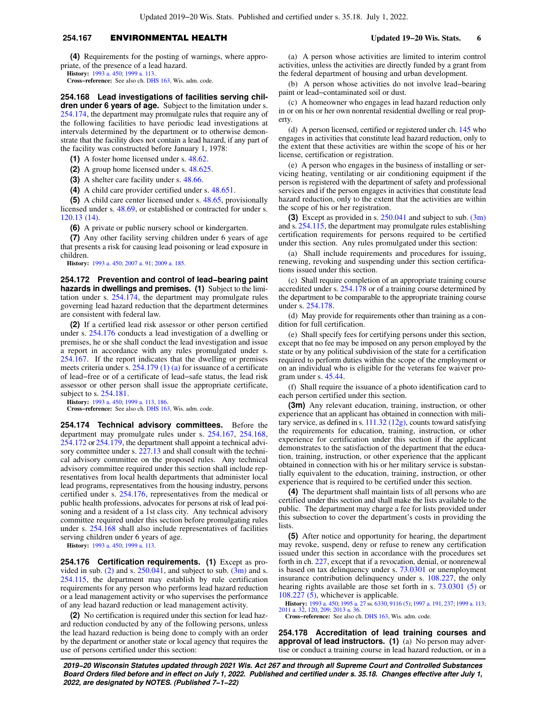## **254.167** ENVIRONMENTAL HEALTH **Updated 19−20 Wis. Stats. 6**

**(4)** Requirements for the posting of warnings, where appropriate, of the presence of a lead hazard.

**History:** [1993 a. 450](https://docs.legis.wisconsin.gov/document/acts/1993/450); [1999 a. 113.](https://docs.legis.wisconsin.gov/document/acts/1999/113)

**Cross−reference:** See also ch. [DHS 163](https://docs.legis.wisconsin.gov/document/administrativecode/ch.%20DHS%20163), Wis. adm. code.

**254.168 Lead investigations of facilities serving children under 6 years of age.** Subject to the limitation under s. [254.174](https://docs.legis.wisconsin.gov/document/statutes/254.174), the department may promulgate rules that require any of the following facilities to have periodic lead investigations at intervals determined by the department or to otherwise demonstrate that the facility does not contain a lead hazard, if any part of the facility was constructed before January 1, 1978:

**(1)** A foster home licensed under s. [48.62](https://docs.legis.wisconsin.gov/document/statutes/48.62).

**(2)** A group home licensed under s. [48.625.](https://docs.legis.wisconsin.gov/document/statutes/48.625)

**(3)** A shelter care facility under s. [48.66.](https://docs.legis.wisconsin.gov/document/statutes/48.66)

**(4)** A child care provider certified under s. [48.651.](https://docs.legis.wisconsin.gov/document/statutes/48.651)

**(5)** A child care center licensed under s. [48.65,](https://docs.legis.wisconsin.gov/document/statutes/48.65) provisionally licensed under s. [48.69](https://docs.legis.wisconsin.gov/document/statutes/48.69), or established or contracted for under s. [120.13 \(14\)](https://docs.legis.wisconsin.gov/document/statutes/120.13(14)).

**(6)** A private or public nursery school or kindergarten.

**(7)** Any other facility serving children under 6 years of age that presents a risk for causing lead poisoning or lead exposure in children.

**History:** [1993 a. 450](https://docs.legis.wisconsin.gov/document/acts/1993/450); [2007 a. 91;](https://docs.legis.wisconsin.gov/document/acts/2007/91) [2009 a. 185](https://docs.legis.wisconsin.gov/document/acts/2009/185).

**254.172 Prevention and control of lead−bearing paint hazards in dwellings and premises. (1)** Subject to the limitation under s. [254.174](https://docs.legis.wisconsin.gov/document/statutes/254.174), the department may promulgate rules governing lead hazard reduction that the department determines are consistent with federal law.

**(2)** If a certified lead risk assessor or other person certified under s. [254.176](https://docs.legis.wisconsin.gov/document/statutes/254.176) conducts a lead investigation of a dwelling or premises, he or she shall conduct the lead investigation and issue a report in accordance with any rules promulgated under s. [254.167](https://docs.legis.wisconsin.gov/document/statutes/254.167). If the report indicates that the dwelling or premises meets criteria under s. [254.179 \(1\) \(a\)](https://docs.legis.wisconsin.gov/document/statutes/254.179(1)(a)) for issuance of a certificate of lead−free or of a certificate of lead−safe status, the lead risk assessor or other person shall issue the appropriate certificate, subject to s. [254.181](https://docs.legis.wisconsin.gov/document/statutes/254.181).

**History:** [1993 a. 450](https://docs.legis.wisconsin.gov/document/acts/1993/450); [1999 a. 113,](https://docs.legis.wisconsin.gov/document/acts/1999/113) [186.](https://docs.legis.wisconsin.gov/document/acts/1999/186)

**Cross−reference:** See also ch. [DHS 163](https://docs.legis.wisconsin.gov/document/administrativecode/ch.%20DHS%20163), Wis. adm. code.

**254.174 Technical advisory committees.** Before the department may promulgate rules under s. [254.167](https://docs.legis.wisconsin.gov/document/statutes/254.167), [254.168,](https://docs.legis.wisconsin.gov/document/statutes/254.168) [254.172](https://docs.legis.wisconsin.gov/document/statutes/254.172) or [254.179,](https://docs.legis.wisconsin.gov/document/statutes/254.179) the department shall appoint a technical advi-sory committee under s. [227.13](https://docs.legis.wisconsin.gov/document/statutes/227.13) and shall consult with the technical advisory committee on the proposed rules. Any technical advisory committee required under this section shall include representatives from local health departments that administer local lead programs, representatives from the housing industry, persons certified under s. [254.176](https://docs.legis.wisconsin.gov/document/statutes/254.176), representatives from the medical or public health professions, advocates for persons at risk of lead poisoning and a resident of a 1st class city. Any technical advisory committee required under this section before promulgating rules under s. [254.168](https://docs.legis.wisconsin.gov/document/statutes/254.168) shall also include representatives of facilities serving children under 6 years of age.

**History:** [1993 a. 450](https://docs.legis.wisconsin.gov/document/acts/1993/450); [1999 a. 113.](https://docs.legis.wisconsin.gov/document/acts/1999/113)

**254.176 Certification requirements. (1)** Except as pro-vided in sub. [\(2\)](https://docs.legis.wisconsin.gov/document/statutes/254.176(2)) and s.  $250.041$ , and subject to sub. [\(3m\)](https://docs.legis.wisconsin.gov/document/statutes/254.176(3m)) and s. [254.115,](https://docs.legis.wisconsin.gov/document/statutes/254.115) the department may establish by rule certification requirements for any person who performs lead hazard reduction or a lead management activity or who supervises the performance of any lead hazard reduction or lead management activity.

**(2)** No certification is required under this section for lead hazard reduction conducted by any of the following persons, unless the lead hazard reduction is being done to comply with an order by the department or another state or local agency that requires the use of persons certified under this section:

(a) A person whose activities are limited to interim control activities, unless the activities are directly funded by a grant from the federal department of housing and urban development.

(b) A person whose activities do not involve lead−bearing paint or lead−contaminated soil or dust.

(c) A homeowner who engages in lead hazard reduction only in or on his or her own nonrental residential dwelling or real property.

(d) A person licensed, certified or registered under ch. [145](https://docs.legis.wisconsin.gov/document/statutes/ch.%20145) who engages in activities that constitute lead hazard reduction, only to the extent that these activities are within the scope of his or her license, certification or registration.

(e) A person who engages in the business of installing or servicing heating, ventilating or air conditioning equipment if the person is registered with the department of safety and professional services and if the person engages in activities that constitute lead hazard reduction, only to the extent that the activities are within the scope of his or her registration.

**(3)** Except as provided in s. [250.041](https://docs.legis.wisconsin.gov/document/statutes/250.041) and subject to sub. [\(3m\)](https://docs.legis.wisconsin.gov/document/statutes/254.176(3m)) and s. [254.115](https://docs.legis.wisconsin.gov/document/statutes/254.115), the department may promulgate rules establishing certification requirements for persons required to be certified under this section. Any rules promulgated under this section:

(a) Shall include requirements and procedures for issuing, renewing, revoking and suspending under this section certifications issued under this section.

(c) Shall require completion of an appropriate training course accredited under s. [254.178](https://docs.legis.wisconsin.gov/document/statutes/254.178) or of a training course determined by the department to be comparable to the appropriate training course under s. [254.178](https://docs.legis.wisconsin.gov/document/statutes/254.178).

(d) May provide for requirements other than training as a condition for full certification.

(e) Shall specify fees for certifying persons under this section, except that no fee may be imposed on any person employed by the state or by any political subdivision of the state for a certification required to perform duties within the scope of the employment or on an individual who is eligible for the veterans fee waiver program under s. [45.44](https://docs.legis.wisconsin.gov/document/statutes/45.44).

(f) Shall require the issuance of a photo identification card to each person certified under this section.

**(3m)** Any relevant education, training, instruction, or other experience that an applicant has obtained in connection with military service, as defined in s. [111.32 \(12g\)](https://docs.legis.wisconsin.gov/document/statutes/111.32(12g)), counts toward satisfying the requirements for education, training, instruction, or other experience for certification under this section if the applicant demonstrates to the satisfaction of the department that the education, training, instruction, or other experience that the applicant obtained in connection with his or her military service is substantially equivalent to the education, training, instruction, or other experience that is required to be certified under this section.

**(4)** The department shall maintain lists of all persons who are certified under this section and shall make the lists available to the public. The department may charge a fee for lists provided under this subsection to cover the department's costs in providing the **lists** 

**(5)** After notice and opportunity for hearing, the department may revoke, suspend, deny or refuse to renew any certification issued under this section in accordance with the procedures set forth in ch. [227](https://docs.legis.wisconsin.gov/document/statutes/ch.%20227), except that if a revocation, denial, or nonrenewal is based on tax delinquency under s. [73.0301](https://docs.legis.wisconsin.gov/document/statutes/73.0301) or unemployment insurance contribution delinquency under s. [108.227](https://docs.legis.wisconsin.gov/document/statutes/108.227), the only hearing rights available are those set forth in s. [73.0301 \(5\)](https://docs.legis.wisconsin.gov/document/statutes/73.0301(5)) or [108.227 \(5\)](https://docs.legis.wisconsin.gov/document/statutes/108.227(5)), whichever is applicable.

**History:** [1993 a. 450](https://docs.legis.wisconsin.gov/document/acts/1993/450); [1995 a. 27](https://docs.legis.wisconsin.gov/document/acts/1995/27) ss. [6330](https://docs.legis.wisconsin.gov/document/acts/1995/27,%20s.%206330), [9116 \(5\)](https://docs.legis.wisconsin.gov/document/acts/1995/27,%20s.%209116); [1997 a. 191](https://docs.legis.wisconsin.gov/document/acts/1997/191), [237;](https://docs.legis.wisconsin.gov/document/acts/1997/237) [1999 a. 113](https://docs.legis.wisconsin.gov/document/acts/1999/113); [2011 a. 32](https://docs.legis.wisconsin.gov/document/acts/2011/32), [120](https://docs.legis.wisconsin.gov/document/acts/2011/120), [209](https://docs.legis.wisconsin.gov/document/acts/2011/209); [2013 a. 36](https://docs.legis.wisconsin.gov/document/acts/2013/36).

**Cross−reference:** See also ch. [DHS 163,](https://docs.legis.wisconsin.gov/document/administrativecode/ch.%20DHS%20163) Wis. adm. code.

**254.178 Accreditation of lead training courses and approval of lead instructors. (1)** (a) No person may advertise or conduct a training course in lead hazard reduction, or in a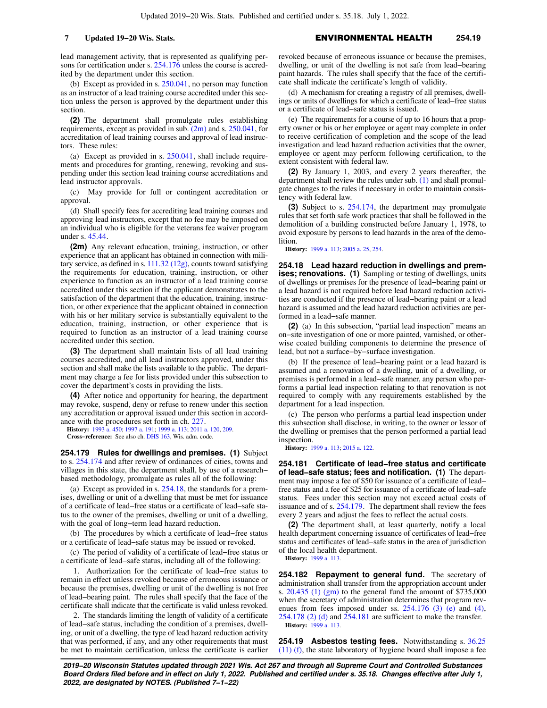lead management activity, that is represented as qualifying persons for certification under s. [254.176](https://docs.legis.wisconsin.gov/document/statutes/254.176) unless the course is accredited by the department under this section.

(b) Except as provided in s.  $250.041$ , no person may function as an instructor of a lead training course accredited under this section unless the person is approved by the department under this section.

**(2)** The department shall promulgate rules establishing requirements, except as provided in sub. [\(2m\)](https://docs.legis.wisconsin.gov/document/statutes/254.178(2m)) and s. [250.041](https://docs.legis.wisconsin.gov/document/statutes/250.041), for accreditation of lead training courses and approval of lead instructors. These rules:

(a) Except as provided in s. [250.041,](https://docs.legis.wisconsin.gov/document/statutes/250.041) shall include requirements and procedures for granting, renewing, revoking and suspending under this section lead training course accreditations and lead instructor approvals.

(c) May provide for full or contingent accreditation or approval.

(d) Shall specify fees for accrediting lead training courses and approving lead instructors, except that no fee may be imposed on an individual who is eligible for the veterans fee waiver program under s. [45.44](https://docs.legis.wisconsin.gov/document/statutes/45.44).

**(2m)** Any relevant education, training, instruction, or other experience that an applicant has obtained in connection with military service, as defined in s. [111.32 \(12g\)](https://docs.legis.wisconsin.gov/document/statutes/111.32(12g)), counts toward satisfying the requirements for education, training, instruction, or other experience to function as an instructor of a lead training course accredited under this section if the applicant demonstrates to the satisfaction of the department that the education, training, instruction, or other experience that the applicant obtained in connection with his or her military service is substantially equivalent to the education, training, instruction, or other experience that is required to function as an instructor of a lead training course accredited under this section.

**(3)** The department shall maintain lists of all lead training courses accredited, and all lead instructors approved, under this section and shall make the lists available to the public. The department may charge a fee for lists provided under this subsection to cover the department's costs in providing the lists.

**(4)** After notice and opportunity for hearing, the department may revoke, suspend, deny or refuse to renew under this section any accreditation or approval issued under this section in accordance with the procedures set forth in ch. [227](https://docs.legis.wisconsin.gov/document/statutes/ch.%20227).

**History:** [1993 a. 450](https://docs.legis.wisconsin.gov/document/acts/1993/450); [1997 a. 191](https://docs.legis.wisconsin.gov/document/acts/1997/191); [1999 a. 113](https://docs.legis.wisconsin.gov/document/acts/1999/113); [2011 a. 120,](https://docs.legis.wisconsin.gov/document/acts/2011/120) [209.](https://docs.legis.wisconsin.gov/document/acts/2011/209)

**Cross−reference:** See also ch. [DHS 163](https://docs.legis.wisconsin.gov/document/administrativecode/ch.%20DHS%20163), Wis. adm. code.

**254.179 Rules for dwellings and premises. (1)** Subject to s. [254.174](https://docs.legis.wisconsin.gov/document/statutes/254.174) and after review of ordinances of cities, towns and villages in this state, the department shall, by use of a research− based methodology, promulgate as rules all of the following:

(a) Except as provided in s. [254.18,](https://docs.legis.wisconsin.gov/document/statutes/254.18) the standards for a premises, dwelling or unit of a dwelling that must be met for issuance of a certificate of lead−free status or a certificate of lead−safe status to the owner of the premises, dwelling or unit of a dwelling, with the goal of long−term lead hazard reduction.

(b) The procedures by which a certificate of lead−free status or a certificate of lead−safe status may be issued or revoked.

(c) The period of validity of a certificate of lead−free status or a certificate of lead−safe status, including all of the following:

1. Authorization for the certificate of lead−free status to remain in effect unless revoked because of erroneous issuance or because the premises, dwelling or unit of the dwelling is not free of lead−bearing paint. The rules shall specify that the face of the certificate shall indicate that the certificate is valid unless revoked.

2. The standards limiting the length of validity of a certificate of lead−safe status, including the condition of a premises, dwelling, or unit of a dwelling, the type of lead hazard reduction activity that was performed, if any, and any other requirements that must be met to maintain certification, unless the certificate is earlier revoked because of erroneous issuance or because the premises, dwelling, or unit of the dwelling is not safe from lead−bearing paint hazards. The rules shall specify that the face of the certificate shall indicate the certificate's length of validity.

(d) A mechanism for creating a registry of all premises, dwellings or units of dwellings for which a certificate of lead−free status or a certificate of lead−safe status is issued.

(e) The requirements for a course of up to 16 hours that a property owner or his or her employee or agent may complete in order to receive certification of completion and the scope of the lead investigation and lead hazard reduction activities that the owner, employee or agent may perform following certification, to the extent consistent with federal law.

**(2)** By January 1, 2003, and every 2 years thereafter, the department shall review the rules under sub. [\(1\)](https://docs.legis.wisconsin.gov/document/statutes/254.179(1)) and shall promulgate changes to the rules if necessary in order to maintain consistency with federal law.

**(3)** Subject to s. [254.174,](https://docs.legis.wisconsin.gov/document/statutes/254.174) the department may promulgate rules that set forth safe work practices that shall be followed in the demolition of a building constructed before January 1, 1978, to avoid exposure by persons to lead hazards in the area of the demolition.

**History:** [1999 a. 113](https://docs.legis.wisconsin.gov/document/acts/1999/113); [2005 a. 25](https://docs.legis.wisconsin.gov/document/acts/2005/25), [254.](https://docs.legis.wisconsin.gov/document/acts/2005/254)

**254.18 Lead hazard reduction in dwellings and premises; renovations. (1)** Sampling or testing of dwellings, units of dwellings or premises for the presence of lead−bearing paint or a lead hazard is not required before lead hazard reduction activities are conducted if the presence of lead−bearing paint or a lead hazard is assumed and the lead hazard reduction activities are performed in a lead−safe manner.

**(2)** (a) In this subsection, "partial lead inspection" means an on−site investigation of one or more painted, varnished, or otherwise coated building components to determine the presence of lead, but not a surface−by−surface investigation.

(b) If the presence of lead−bearing paint or a lead hazard is assumed and a renovation of a dwelling, unit of a dwelling, or premises is performed in a lead−safe manner, any person who performs a partial lead inspection relating to that renovation is not required to comply with any requirements established by the department for a lead inspection.

(c) The person who performs a partial lead inspection under this subsection shall disclose, in writing, to the owner or lessor of the dwelling or premises that the person performed a partial lead inspection.

**History:** [1999 a. 113](https://docs.legis.wisconsin.gov/document/acts/1999/113); [2015 a. 122.](https://docs.legis.wisconsin.gov/document/acts/2015/122)

**254.181 Certificate of lead−free status and certificate of lead−safe status; fees and notification. (1)** The department may impose a fee of \$50 for issuance of a certificate of lead− free status and a fee of \$25 for issuance of a certificate of lead−safe status. Fees under this section may not exceed actual costs of issuance and of s. [254.179](https://docs.legis.wisconsin.gov/document/statutes/254.179). The department shall review the fees every 2 years and adjust the fees to reflect the actual costs.

**(2)** The department shall, at least quarterly, notify a local health department concerning issuance of certificates of lead−free status and certificates of lead−safe status in the area of jurisdiction of the local health department.

**History:** [1999 a. 113](https://docs.legis.wisconsin.gov/document/acts/1999/113).

**254.182 Repayment to general fund.** The secretary of administration shall transfer from the appropriation account under s.  $20.435$  (1) (gm) to the general fund the amount of \$735,000 when the secretary of administration determines that program revenues from fees imposed under ss.  $254.176$  (3) (e) and [\(4\),](https://docs.legis.wisconsin.gov/document/statutes/254.176(4)) [254.178 \(2\) \(d\)](https://docs.legis.wisconsin.gov/document/statutes/254.178(2)(d)) and [254.181](https://docs.legis.wisconsin.gov/document/statutes/254.181) are sufficient to make the transfer. **History:** [1999 a. 113](https://docs.legis.wisconsin.gov/document/acts/1999/113).

**254.19 Asbestos testing fees.** Notwithstanding s. [36.25](https://docs.legis.wisconsin.gov/document/statutes/36.25(11)(f)) [\(11\) \(f\)](https://docs.legis.wisconsin.gov/document/statutes/36.25(11)(f)), the state laboratory of hygiene board shall impose a fee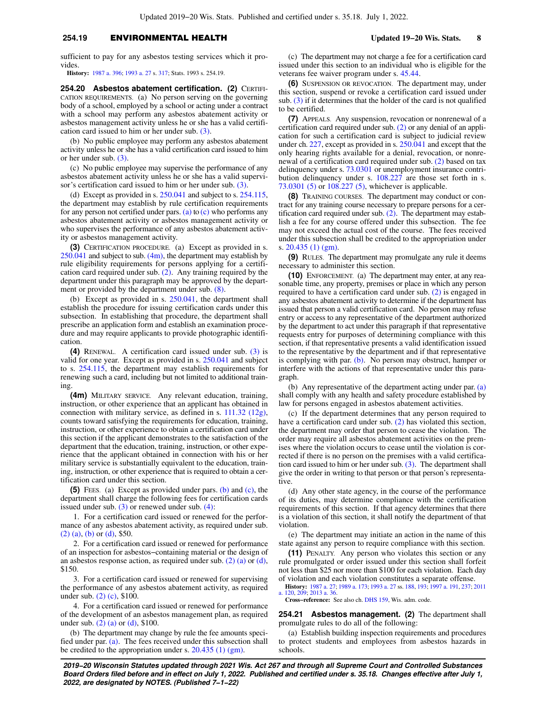## **254.19** ENVIRONMENTAL HEALTH **Updated 19−20 Wis. Stats. 8**

sufficient to pay for any asbestos testing services which it provides

**History:** [1987 a. 396](https://docs.legis.wisconsin.gov/document/acts/1987/396); [1993 a. 27](https://docs.legis.wisconsin.gov/document/acts/1993/27) s. [317](https://docs.legis.wisconsin.gov/document/acts/1993/27,%20s.%20317); Stats. 1993 s. 254.19.

**254.20 Asbestos abatement certification. (2)** CERTIFI-CATION REQUIREMENTS. (a) No person serving on the governing body of a school, employed by a school or acting under a contract with a school may perform any asbestos abatement activity or asbestos management activity unless he or she has a valid certification card issued to him or her under sub. [\(3\).](https://docs.legis.wisconsin.gov/document/statutes/254.20(3))

(b) No public employee may perform any asbestos abatement activity unless he or she has a valid certification card issued to him or her under sub. [\(3\).](https://docs.legis.wisconsin.gov/document/statutes/254.20(3))

(c) No public employee may supervise the performance of any asbestos abatement activity unless he or she has a valid supervisor's certification card issued to him or her under sub. [\(3\).](https://docs.legis.wisconsin.gov/document/statutes/254.20(3))

(d) Except as provided in s. [250.041](https://docs.legis.wisconsin.gov/document/statutes/250.041) and subject to s. [254.115,](https://docs.legis.wisconsin.gov/document/statutes/254.115) the department may establish by rule certification requirements for any person not certified under pars. [\(a\)](https://docs.legis.wisconsin.gov/document/statutes/254.20(2)(a)) to  $(c)$  who performs any asbestos abatement activity or asbestos management activity or who supervises the performance of any asbestos abatement activity or asbestos management activity.

**(3)** CERTIFICATION PROCEDURE. (a) Except as provided in s.  $250.041$  and subject to sub.  $(4m)$ , the department may establish by rule eligibility requirements for persons applying for a certification card required under sub. [\(2\).](https://docs.legis.wisconsin.gov/document/statutes/254.20(2)) Any training required by the department under this paragraph may be approved by the department or provided by the department under sub. [\(8\).](https://docs.legis.wisconsin.gov/document/statutes/254.20(8))

(b) Except as provided in s. [250.041](https://docs.legis.wisconsin.gov/document/statutes/250.041), the department shall establish the procedure for issuing certification cards under this subsection. In establishing that procedure, the department shall prescribe an application form and establish an examination procedure and may require applicants to provide photographic identification.

**(4)** RENEWAL. A certification card issued under sub. [\(3\)](https://docs.legis.wisconsin.gov/document/statutes/254.20(3)) is valid for one year. Except as provided in s. [250.041](https://docs.legis.wisconsin.gov/document/statutes/250.041) and subject to s. [254.115,](https://docs.legis.wisconsin.gov/document/statutes/254.115) the department may establish requirements for renewing such a card, including but not limited to additional training.

**(4m)** MILITARY SERVICE. Any relevant education, training, instruction, or other experience that an applicant has obtained in connection with military service, as defined in s. [111.32 \(12g\),](https://docs.legis.wisconsin.gov/document/statutes/111.32(12g)) counts toward satisfying the requirements for education, training, instruction, or other experience to obtain a certification card under this section if the applicant demonstrates to the satisfaction of the department that the education, training, instruction, or other experience that the applicant obtained in connection with his or her military service is substantially equivalent to the education, training, instruction, or other experience that is required to obtain a certification card under this section.

**(5)** FEES. (a) Except as provided under pars. [\(b\)](https://docs.legis.wisconsin.gov/document/statutes/254.20(5)(b)) and [\(c\)](https://docs.legis.wisconsin.gov/document/statutes/254.20(5)(c)), the department shall charge the following fees for certification cards issued under sub.  $(3)$  or renewed under sub.  $(4)$ :

1. For a certification card issued or renewed for the performance of any asbestos abatement activity, as required under sub. [\(2\) \(a\),](https://docs.legis.wisconsin.gov/document/statutes/254.20(2)(a)) [\(b\)](https://docs.legis.wisconsin.gov/document/statutes/254.20(2)(b)) or [\(d\)](https://docs.legis.wisconsin.gov/document/statutes/254.20(2)(d)), \$50.

2. For a certification card issued or renewed for performance of an inspection for asbestos−containing material or the design of an asbestos response action, as required under sub. [\(2\) \(a\)](https://docs.legis.wisconsin.gov/document/statutes/254.20(2)(a)) or [\(d\),](https://docs.legis.wisconsin.gov/document/statutes/254.20(2)(d)) \$150.

3. For a certification card issued or renewed for supervising the performance of any asbestos abatement activity, as required under sub. [\(2\) \(c\),](https://docs.legis.wisconsin.gov/document/statutes/254.20(2)(c)) \$100.

4. For a certification card issued or renewed for performance of the development of an asbestos management plan, as required under sub.  $(2)$  (a) or [\(d\)](https://docs.legis.wisconsin.gov/document/statutes/254.20(2)(d)), \$100.

(b) The department may change by rule the fee amounts specified under par.  $(a)$ . The fees received under this subsection shall be credited to the appropriation under s.  $20.435$  (1) (gm).

(c) The department may not charge a fee for a certification card issued under this section to an individual who is eligible for the veterans fee waiver program under s. [45.44.](https://docs.legis.wisconsin.gov/document/statutes/45.44)

**(6)** SUSPENSION OR REVOCATION. The department may, under this section, suspend or revoke a certification card issued under sub. [\(3\)](https://docs.legis.wisconsin.gov/document/statutes/254.20(3)) if it determines that the holder of the card is not qualified to be certified.

**(7)** APPEALS. Any suspension, revocation or nonrenewal of a certification card required under sub. [\(2\)](https://docs.legis.wisconsin.gov/document/statutes/254.20(2)) or any denial of an application for such a certification card is subject to judicial review under ch. [227](https://docs.legis.wisconsin.gov/document/statutes/ch.%20227), except as provided in s. [250.041](https://docs.legis.wisconsin.gov/document/statutes/250.041) and except that the only hearing rights available for a denial, revocation, or nonrenewal of a certification card required under sub. [\(2\)](https://docs.legis.wisconsin.gov/document/statutes/254.20(2)) based on tax delinquency under s. [73.0301](https://docs.legis.wisconsin.gov/document/statutes/73.0301) or unemployment insurance contribution delinquency under s. [108.227](https://docs.legis.wisconsin.gov/document/statutes/108.227) are those set forth in s. [73.0301 \(5\)](https://docs.legis.wisconsin.gov/document/statutes/73.0301(5)) or [108.227 \(5\),](https://docs.legis.wisconsin.gov/document/statutes/108.227(5)) whichever is applicable.

**(8)** TRAINING COURSES. The department may conduct or contract for any training course necessary to prepare persons for a certification card required under sub. [\(2\)](https://docs.legis.wisconsin.gov/document/statutes/254.20(2)). The department may establish a fee for any course offered under this subsection. The fee may not exceed the actual cost of the course. The fees received under this subsection shall be credited to the appropriation under s. [20.435 \(1\) \(gm\).](https://docs.legis.wisconsin.gov/document/statutes/20.435(1)(gm))

**(9)** RULES. The department may promulgate any rule it deems necessary to administer this section.

**(10)** ENFORCEMENT. (a) The department may enter, at any reasonable time, any property, premises or place in which any person required to have a certification card under sub. [\(2\)](https://docs.legis.wisconsin.gov/document/statutes/254.20(2)) is engaged in any asbestos abatement activity to determine if the department has issued that person a valid certification card. No person may refuse entry or access to any representative of the department authorized by the department to act under this paragraph if that representative requests entry for purposes of determining compliance with this section, if that representative presents a valid identification issued to the representative by the department and if that representative is complying with par. [\(b\)](https://docs.legis.wisconsin.gov/document/statutes/254.20(10)(b)). No person may obstruct, hamper or interfere with the actions of that representative under this paragraph.

(b) Any representative of the department acting under par. [\(a\)](https://docs.legis.wisconsin.gov/document/statutes/254.20(10)(a)) shall comply with any health and safety procedure established by law for persons engaged in asbestos abatement activities.

(c) If the department determines that any person required to have a certification card under sub. [\(2\)](https://docs.legis.wisconsin.gov/document/statutes/254.20(2)) has violated this section, the department may order that person to cease the violation. The order may require all asbestos abatement activities on the premises where the violation occurs to cease until the violation is corrected if there is no person on the premises with a valid certification card issued to him or her under sub. [\(3\)](https://docs.legis.wisconsin.gov/document/statutes/254.20(3)). The department shall give the order in writing to that person or that person's representative.

(d) Any other state agency, in the course of the performance of its duties, may determine compliance with the certification requirements of this section. If that agency determines that there is a violation of this section, it shall notify the department of that violation.

(e) The department may initiate an action in the name of this state against any person to require compliance with this section.

**(11)** PENALTY. Any person who violates this section or any rule promulgated or order issued under this section shall forfeit not less than \$25 nor more than \$100 for each violation. Each day of violation and each violation constitutes a separate offense.

**History:** [1987 a. 27;](https://docs.legis.wisconsin.gov/document/acts/1987/27) [1989 a. 173](https://docs.legis.wisconsin.gov/document/acts/1989/173); [1993 a. 27](https://docs.legis.wisconsin.gov/document/acts/1993/27) ss. [188](https://docs.legis.wisconsin.gov/document/acts/1993/27,%20s.%20188), [193;](https://docs.legis.wisconsin.gov/document/acts/1993/27,%20s.%20193) [1997 a. 191](https://docs.legis.wisconsin.gov/document/acts/1997/191), [237](https://docs.legis.wisconsin.gov/document/acts/1997/237); [2011](https://docs.legis.wisconsin.gov/document/acts/2011/120) [a. 120](https://docs.legis.wisconsin.gov/document/acts/2011/120), [209](https://docs.legis.wisconsin.gov/document/acts/2011/209); [2013 a. 36](https://docs.legis.wisconsin.gov/document/acts/2013/36).

**Cross−reference:** See also ch. [DHS 159,](https://docs.legis.wisconsin.gov/document/administrativecode/ch.%20DHS%20159) Wis. adm. code.

**254.21 Asbestos management. (2)** The department shall promulgate rules to do all of the following:

(a) Establish building inspection requirements and procedures to protect students and employees from asbestos hazards in schools.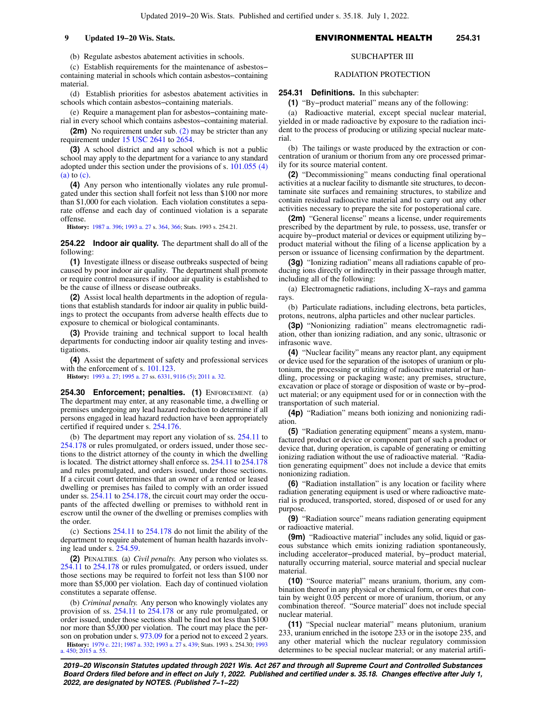(b) Regulate asbestos abatement activities in schools.

(c) Establish requirements for the maintenance of asbestos− containing material in schools which contain asbestos−containing material.

(d) Establish priorities for asbestos abatement activities in schools which contain asbestos−containing materials.

(e) Require a management plan for asbestos−containing material in every school which contains asbestos−containing material.

**(2m)** No requirement under sub. [\(2\)](https://docs.legis.wisconsin.gov/document/statutes/254.21(2)) may be stricter than any requirement under [15 USC 2641](https://docs.legis.wisconsin.gov/document/usc/15%20USC%202641) to [2654.](https://docs.legis.wisconsin.gov/document/usc/15%20USC%202654)

**(3)** A school district and any school which is not a public school may apply to the department for a variance to any standard adopted under this section under the provisions of s. [101.055 \(4\)](https://docs.legis.wisconsin.gov/document/statutes/101.055(4)(a)) [\(a\)](https://docs.legis.wisconsin.gov/document/statutes/101.055(4)(a)) to [\(c\)](https://docs.legis.wisconsin.gov/document/statutes/101.055(4)(c)).

**(4)** Any person who intentionally violates any rule promulgated under this section shall forfeit not less than \$100 nor more than \$1,000 for each violation. Each violation constitutes a separate offense and each day of continued violation is a separate offense.

**History:** [1987 a. 396](https://docs.legis.wisconsin.gov/document/acts/1987/396); [1993 a. 27](https://docs.legis.wisconsin.gov/document/acts/1993/27) s. [364](https://docs.legis.wisconsin.gov/document/acts/1993/27,%20s.%20364), [366](https://docs.legis.wisconsin.gov/document/acts/1993/27,%20s.%20366); Stats. 1993 s. 254.21.

**254.22 Indoor air quality.** The department shall do all of the following:

**(1)** Investigate illness or disease outbreaks suspected of being caused by poor indoor air quality. The department shall promote or require control measures if indoor air quality is established to be the cause of illness or disease outbreaks.

**(2)** Assist local health departments in the adoption of regulations that establish standards for indoor air quality in public buildings to protect the occupants from adverse health effects due to exposure to chemical or biological contaminants.

**(3)** Provide training and technical support to local health departments for conducting indoor air quality testing and investigations.

**(4)** Assist the department of safety and professional services with the enforcement of s. [101.123](https://docs.legis.wisconsin.gov/document/statutes/101.123).

**History:** [1993 a. 27;](https://docs.legis.wisconsin.gov/document/acts/1993/27) [1995 a. 27](https://docs.legis.wisconsin.gov/document/acts/1995/27) ss. [6331,](https://docs.legis.wisconsin.gov/document/acts/1995/27,%20s.%206331) [9116 \(5\);](https://docs.legis.wisconsin.gov/document/acts/1995/27,%20s.%209116) [2011 a. 32.](https://docs.legis.wisconsin.gov/document/acts/2011/32)

**254.30 Enforcement; penalties. (1)** ENFORCEMENT. (a) The department may enter, at any reasonable time, a dwelling or premises undergoing any lead hazard reduction to determine if all persons engaged in lead hazard reduction have been appropriately certified if required under s. [254.176.](https://docs.legis.wisconsin.gov/document/statutes/254.176)

(b) The department may report any violation of ss. [254.11](https://docs.legis.wisconsin.gov/document/statutes/254.11) to [254.178](https://docs.legis.wisconsin.gov/document/statutes/254.178) or rules promulgated, or orders issued, under those sections to the district attorney of the county in which the dwelling is located. The district attorney shall enforce ss. [254.11](https://docs.legis.wisconsin.gov/document/statutes/254.11) to [254.178](https://docs.legis.wisconsin.gov/document/statutes/254.178) and rules promulgated, and orders issued, under those sections. If a circuit court determines that an owner of a rented or leased dwelling or premises has failed to comply with an order issued under ss. [254.11](https://docs.legis.wisconsin.gov/document/statutes/254.11) to [254.178](https://docs.legis.wisconsin.gov/document/statutes/254.178), the circuit court may order the occupants of the affected dwelling or premises to withhold rent in escrow until the owner of the dwelling or premises complies with the order.

(c) Sections [254.11](https://docs.legis.wisconsin.gov/document/statutes/254.11) to [254.178](https://docs.legis.wisconsin.gov/document/statutes/254.178) do not limit the ability of the department to require abatement of human health hazards involving lead under s. [254.59.](https://docs.legis.wisconsin.gov/document/statutes/254.59)

**(2)** PENALTIES. (a) *Civil penalty.* Any person who violates ss. [254.11](https://docs.legis.wisconsin.gov/document/statutes/254.11) to [254.178](https://docs.legis.wisconsin.gov/document/statutes/254.178) or rules promulgated, or orders issued, under those sections may be required to forfeit not less than \$100 nor more than \$5,000 per violation. Each day of continued violation constitutes a separate offense.

(b) *Criminal penalty.* Any person who knowingly violates any provision of ss. [254.11](https://docs.legis.wisconsin.gov/document/statutes/254.11) to [254.178](https://docs.legis.wisconsin.gov/document/statutes/254.178) or any rule promulgated, or order issued, under those sections shall be fined not less than \$100 nor more than \$5,000 per violation. The court may place the person on probation under s. [973.09](https://docs.legis.wisconsin.gov/document/statutes/973.09) for a period not to exceed 2 years.

**History:** [1979 c. 221](https://docs.legis.wisconsin.gov/document/acts/1979/221); [1987 a. 332](https://docs.legis.wisconsin.gov/document/acts/1987/332); [1993 a. 27](https://docs.legis.wisconsin.gov/document/acts/1993/27) s. [439](https://docs.legis.wisconsin.gov/document/acts/1993/27,%20s.%20439); Stats. 1993 s. 254.30; [1993](https://docs.legis.wisconsin.gov/document/acts/1993/450) [a. 450;](https://docs.legis.wisconsin.gov/document/acts/1993/450) [2015 a. 55](https://docs.legis.wisconsin.gov/document/acts/2015/55).

## SUBCHAPTER III

### RADIATION PROTECTION

**254.31 Definitions.** In this subchapter:

**(1)** "By−product material" means any of the following:

(a) Radioactive material, except special nuclear material, yielded in or made radioactive by exposure to the radiation incident to the process of producing or utilizing special nuclear material.

(b) The tailings or waste produced by the extraction or concentration of uranium or thorium from any ore processed primarily for its source material content.

**(2)** "Decommissioning" means conducting final operational activities at a nuclear facility to dismantle site structures, to decontaminate site surfaces and remaining structures, to stabilize and contain residual radioactive material and to carry out any other activities necessary to prepare the site for postoperational care.

**(2m)** "General license" means a license, under requirements prescribed by the department by rule, to possess, use, transfer or acquire by−product material or devices or equipment utilizing by− product material without the filing of a license application by a person or issuance of licensing confirmation by the department.

**(3g)** "Ionizing radiation" means all radiations capable of producing ions directly or indirectly in their passage through matter, including all of the following:

(a) Electromagnetic radiations, including X−rays and gamma rays.

(b) Particulate radiations, including electrons, beta particles, protons, neutrons, alpha particles and other nuclear particles.

**(3p)** "Nonionizing radiation" means electromagnetic radiation, other than ionizing radiation, and any sonic, ultrasonic or infrasonic wave.

**(4)** "Nuclear facility" means any reactor plant, any equipment or device used for the separation of the isotopes of uranium or plutonium, the processing or utilizing of radioactive material or handling, processing or packaging waste; any premises, structure, excavation or place of storage or disposition of waste or by−product material; or any equipment used for or in connection with the transportation of such material.

**(4p)** "Radiation" means both ionizing and nonionizing radiation.

**(5)** "Radiation generating equipment" means a system, manufactured product or device or component part of such a product or device that, during operation, is capable of generating or emitting ionizing radiation without the use of radioactive material. "Radiation generating equipment" does not include a device that emits nonionizing radiation.

**(6)** "Radiation installation" is any location or facility where radiation generating equipment is used or where radioactive material is produced, transported, stored, disposed of or used for any purpose.

**(9)** "Radiation source" means radiation generating equipment or radioactive material.

**(9m)** "Radioactive material" includes any solid, liquid or gaseous substance which emits ionizing radiation spontaneously, including accelerator−produced material, by−product material, naturally occurring material, source material and special nuclear material.

**(10)** "Source material" means uranium, thorium, any combination thereof in any physical or chemical form, or ores that contain by weight 0.05 percent or more of uranium, thorium, or any combination thereof. "Source material" does not include special nuclear material.

**(11)** "Special nuclear material" means plutonium, uranium 233, uranium enriched in the isotope 233 or in the isotope 235, and any other material which the nuclear regulatory commission determines to be special nuclear material; or any material artifi-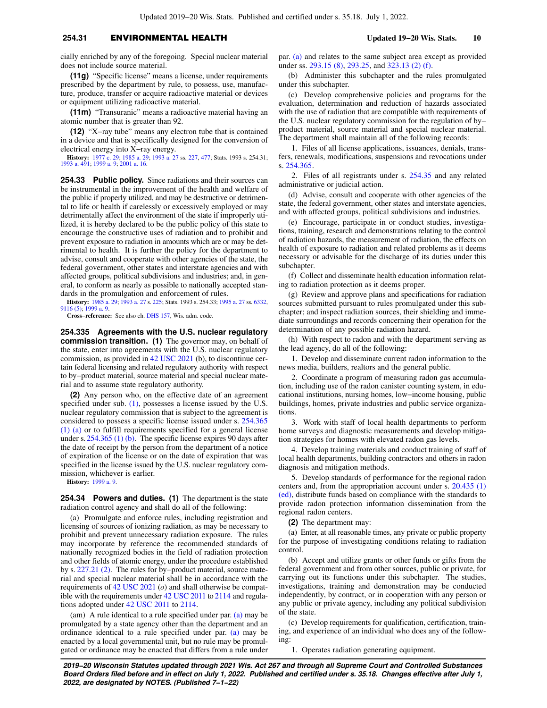## **254.31** ENVIRONMENTAL HEALTH **Updated 19−20 Wis. Stats. 10**

cially enriched by any of the foregoing. Special nuclear material does not include source material.

**(11g)** "Specific license" means a license, under requirements prescribed by the department by rule, to possess, use, manufacture, produce, transfer or acquire radioactive material or devices or equipment utilizing radioactive material.

**(11m)** "Transuranic" means a radioactive material having an atomic number that is greater than 92.

**(12)** "X−ray tube" means any electron tube that is contained in a device and that is specifically designed for the conversion of electrical energy into X−ray energy.

**History:** [1977 c. 29](https://docs.legis.wisconsin.gov/document/acts/1977/29); [1985 a. 29;](https://docs.legis.wisconsin.gov/document/acts/1985/29) [1993 a. 27](https://docs.legis.wisconsin.gov/document/acts/1993/27) ss. [227](https://docs.legis.wisconsin.gov/document/acts/1993/27,%20s.%20227), [477;](https://docs.legis.wisconsin.gov/document/acts/1993/27,%20s.%20477) Stats. 1993 s. 254.31; [1993 a. 491;](https://docs.legis.wisconsin.gov/document/acts/1993/491) [1999 a. 9](https://docs.legis.wisconsin.gov/document/acts/1999/9); [2001 a. 16.](https://docs.legis.wisconsin.gov/document/acts/2001/16)

**254.33 Public policy.** Since radiations and their sources can be instrumental in the improvement of the health and welfare of the public if properly utilized, and may be destructive or detrimental to life or health if carelessly or excessively employed or may detrimentally affect the environment of the state if improperly utilized, it is hereby declared to be the public policy of this state to encourage the constructive uses of radiation and to prohibit and prevent exposure to radiation in amounts which are or may be detrimental to health. It is further the policy for the department to advise, consult and cooperate with other agencies of the state, the federal government, other states and interstate agencies and with affected groups, political subdivisions and industries; and, in general, to conform as nearly as possible to nationally accepted standards in the promulgation and enforcement of rules.

**History:** [1985 a. 29](https://docs.legis.wisconsin.gov/document/acts/1985/29); [1993 a. 27](https://docs.legis.wisconsin.gov/document/acts/1993/27) s. [225](https://docs.legis.wisconsin.gov/document/acts/1993/27,%20s.%20225); Stats. 1993 s. 254.33; [1995 a. 27](https://docs.legis.wisconsin.gov/document/acts/1995/27) ss. [6332](https://docs.legis.wisconsin.gov/document/acts/1995/27,%20s.%206332), [9116 \(5\)](https://docs.legis.wisconsin.gov/document/acts/1995/27,%20s.%209116); [1999 a. 9](https://docs.legis.wisconsin.gov/document/acts/1999/9).

**Cross−reference:** See also ch. [DHS 157](https://docs.legis.wisconsin.gov/document/administrativecode/ch.%20DHS%20157), Wis. adm. code.

**254.335 Agreements with the U.S. nuclear regulatory commission transition. (1)** The governor may, on behalf of the state, enter into agreements with the U.S. nuclear regulatory commission, as provided in [42 USC 2021](https://docs.legis.wisconsin.gov/document/usc/42%20USC%202021) (b), to discontinue certain federal licensing and related regulatory authority with respect to by−product material, source material and special nuclear material and to assume state regulatory authority.

**(2)** Any person who, on the effective date of an agreement specified under sub. [\(1\)](https://docs.legis.wisconsin.gov/document/statutes/254.335(1)), possesses a license issued by the U.S. nuclear regulatory commission that is subject to the agreement is considered to possess a specific license issued under s. [254.365](https://docs.legis.wisconsin.gov/document/statutes/254.365(1)(a)) [\(1\) \(a\)](https://docs.legis.wisconsin.gov/document/statutes/254.365(1)(a)) or to fulfill requirements specified for a general license under s. [254.365 \(1\) \(b\).](https://docs.legis.wisconsin.gov/document/statutes/254.365(1)(b)) The specific license expires 90 days after the date of receipt by the person from the department of a notice of expiration of the license or on the date of expiration that was specified in the license issued by the U.S. nuclear regulatory commission, whichever is earlier.

**History:** [1999 a. 9](https://docs.legis.wisconsin.gov/document/acts/1999/9).

**254.34 Powers and duties. (1)** The department is the state radiation control agency and shall do all of the following:

(a) Promulgate and enforce rules, including registration and licensing of sources of ionizing radiation, as may be necessary to prohibit and prevent unnecessary radiation exposure. The rules may incorporate by reference the recommended standards of nationally recognized bodies in the field of radiation protection and other fields of atomic energy, under the procedure established by s. [227.21 \(2\).](https://docs.legis.wisconsin.gov/document/statutes/227.21(2)) The rules for by−product material, source material and special nuclear material shall be in accordance with the requirements of [42 USC 2021](https://docs.legis.wisconsin.gov/document/usc/42%20USC%202021) (*o*) and shall otherwise be compatible with the requirements under [42 USC 2011](https://docs.legis.wisconsin.gov/document/usc/42%20USC%202011) to [2114](https://docs.legis.wisconsin.gov/document/usc/42%20USC%202114) and regulations adopted under [42 USC 2011](https://docs.legis.wisconsin.gov/document/usc/42%20USC%202011) to [2114.](https://docs.legis.wisconsin.gov/document/usc/42%20USC%202114)

(am) A rule identical to a rule specified under par. [\(a\)](https://docs.legis.wisconsin.gov/document/statutes/254.34(1)(a)) may be promulgated by a state agency other than the department and an ordinance identical to a rule specified under par. [\(a\)](https://docs.legis.wisconsin.gov/document/statutes/254.34(1)(a)) may be enacted by a local governmental unit, but no rule may be promulgated or ordinance may be enacted that differs from a rule under par. [\(a\)](https://docs.legis.wisconsin.gov/document/statutes/254.34(1)(a)) and relates to the same subject area except as provided under ss. [293.15 \(8\)](https://docs.legis.wisconsin.gov/document/statutes/293.15(8)), [293.25,](https://docs.legis.wisconsin.gov/document/statutes/293.25) and [323.13 \(2\) \(f\).](https://docs.legis.wisconsin.gov/document/statutes/323.13(2)(f))

(b) Administer this subchapter and the rules promulgated under this subchapter.

(c) Develop comprehensive policies and programs for the evaluation, determination and reduction of hazards associated with the use of radiation that are compatible with requirements of the U.S. nuclear regulatory commission for the regulation of by− product material, source material and special nuclear material. The department shall maintain all of the following records:

1. Files of all license applications, issuances, denials, transfers, renewals, modifications, suspensions and revocations under s. [254.365.](https://docs.legis.wisconsin.gov/document/statutes/254.365)

2. Files of all registrants under s. [254.35](https://docs.legis.wisconsin.gov/document/statutes/254.35) and any related administrative or judicial action.

(d) Advise, consult and cooperate with other agencies of the state, the federal government, other states and interstate agencies, and with affected groups, political subdivisions and industries.

(e) Encourage, participate in or conduct studies, investigations, training, research and demonstrations relating to the control of radiation hazards, the measurement of radiation, the effects on health of exposure to radiation and related problems as it deems necessary or advisable for the discharge of its duties under this subchapter.

(f) Collect and disseminate health education information relating to radiation protection as it deems proper.

(g) Review and approve plans and specifications for radiation sources submitted pursuant to rules promulgated under this subchapter; and inspect radiation sources, their shielding and immediate surroundings and records concerning their operation for the determination of any possible radiation hazard.

(h) With respect to radon and with the department serving as the lead agency, do all of the following:

1. Develop and disseminate current radon information to the news media, builders, realtors and the general public.

2. Coordinate a program of measuring radon gas accumulation, including use of the radon canister counting system, in educational institutions, nursing homes, low−income housing, public buildings, homes, private industries and public service organizations.

3. Work with staff of local health departments to perform home surveys and diagnostic measurements and develop mitigation strategies for homes with elevated radon gas levels.

4. Develop training materials and conduct training of staff of local health departments, building contractors and others in radon diagnosis and mitigation methods.

5. Develop standards of performance for the regional radon centers and, from the appropriation account under s. [20.435 \(1\)](https://docs.legis.wisconsin.gov/document/statutes/20.435(1)(ed)) [\(ed\),](https://docs.legis.wisconsin.gov/document/statutes/20.435(1)(ed)) distribute funds based on compliance with the standards to provide radon protection information dissemination from the regional radon centers.

**(2)** The department may:

(a) Enter, at all reasonable times, any private or public property for the purpose of investigating conditions relating to radiation control.

(b) Accept and utilize grants or other funds or gifts from the federal government and from other sources, public or private, for carrying out its functions under this subchapter. The studies, investigations, training and demonstration may be conducted independently, by contract, or in cooperation with any person or any public or private agency, including any political subdivision of the state.

(c) Develop requirements for qualification, certification, training, and experience of an individual who does any of the following:

1. Operates radiation generating equipment.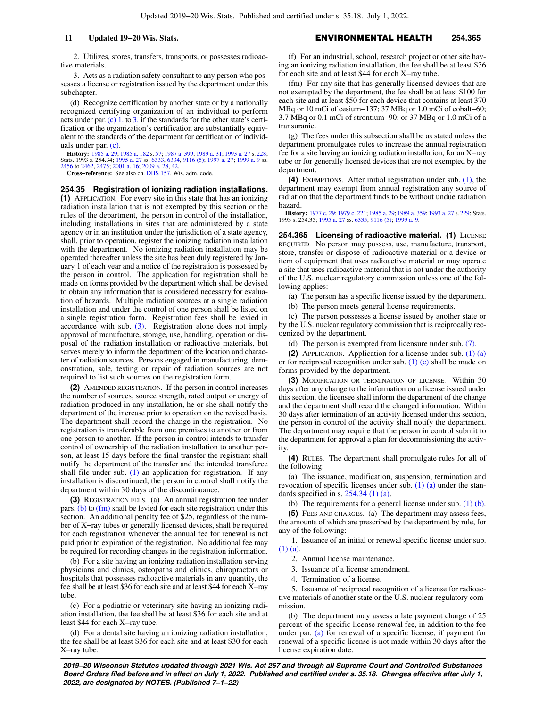2. Utilizes, stores, transfers, transports, or possesses radioactive materials.

3. Acts as a radiation safety consultant to any person who possesses a license or registration issued by the department under this subchapter.

(d) Recognize certification by another state or by a nationally recognized certifying organization of an individual to perform acts under par. [\(c\) 1.](https://docs.legis.wisconsin.gov/document/statutes/254.34(2)(c)1.) to [3.](https://docs.legis.wisconsin.gov/document/statutes/254.34(2)(c)3.) if the standards for the other state's certification or the organization's certification are substantially equivalent to the standards of the department for certification of individuals under par. [\(c\)](https://docs.legis.wisconsin.gov/document/statutes/254.34(2)(c)).

**History:** [1985 a. 29](https://docs.legis.wisconsin.gov/document/acts/1985/29); [1985 a. 182](https://docs.legis.wisconsin.gov/document/acts/1985/182) s. [57;](https://docs.legis.wisconsin.gov/document/acts/1985/182,%20s.%2057) [1987 a. 399](https://docs.legis.wisconsin.gov/document/acts/1987/399); [1989 a. 31](https://docs.legis.wisconsin.gov/document/acts/1989/31); [1993 a. 27](https://docs.legis.wisconsin.gov/document/acts/1993/27) s. [228](https://docs.legis.wisconsin.gov/document/acts/1993/27,%20s.%20228); Stats. 1993 s. 254.34; [1995 a. 27](https://docs.legis.wisconsin.gov/document/acts/1995/27) ss. [6333,](https://docs.legis.wisconsin.gov/document/acts/1995/27,%20s.%206333) [6334](https://docs.legis.wisconsin.gov/document/acts/1995/27,%20s.%206334), [9116 \(5\)](https://docs.legis.wisconsin.gov/document/acts/1995/27,%20s.%209116); [1997 a. 27;](https://docs.legis.wisconsin.gov/document/acts/1997/27) [1999 a. 9](https://docs.legis.wisconsin.gov/document/acts/1999/9) ss. [2456](https://docs.legis.wisconsin.gov/document/acts/1999/9,%20s.%202456) to [2462,](https://docs.legis.wisconsin.gov/document/acts/1999/9,%20s.%202462) [2475](https://docs.legis.wisconsin.gov/document/acts/1999/9,%20s.%202475); [2001 a. 16;](https://docs.legis.wisconsin.gov/document/acts/2001/16) [2009 a. 28,](https://docs.legis.wisconsin.gov/document/acts/2009/28) [42](https://docs.legis.wisconsin.gov/document/acts/2009/42).

**Cross−reference:** See also ch. [DHS 157](https://docs.legis.wisconsin.gov/document/administrativecode/ch.%20DHS%20157), Wis. adm. code.

**254.35 Registration of ionizing radiation installations. (1)** APPLICATION. For every site in this state that has an ionizing radiation installation that is not exempted by this section or the rules of the department, the person in control of the installation, including installations in sites that are administered by a state agency or in an institution under the jurisdiction of a state agency, shall, prior to operation, register the ionizing radiation installation with the department. No ionizing radiation installation may be operated thereafter unless the site has been duly registered by January 1 of each year and a notice of the registration is possessed by the person in control. The application for registration shall be made on forms provided by the department which shall be devised to obtain any information that is considered necessary for evaluation of hazards. Multiple radiation sources at a single radiation installation and under the control of one person shall be listed on a single registration form. Registration fees shall be levied in accordance with sub.  $(3)$ . Registration alone does not imply approval of manufacture, storage, use, handling, operation or disposal of the radiation installation or radioactive materials, but serves merely to inform the department of the location and character of radiation sources. Persons engaged in manufacturing, demonstration, sale, testing or repair of radiation sources are not required to list such sources on the registration form.

**(2)** AMENDED REGISTRATION. If the person in control increases the number of sources, source strength, rated output or energy of radiation produced in any installation, he or she shall notify the department of the increase prior to operation on the revised basis. The department shall record the change in the registration. No registration is transferable from one premises to another or from one person to another. If the person in control intends to transfer control of ownership of the radiation installation to another person, at least 15 days before the final transfer the registrant shall notify the department of the transfer and the intended transferee shall file under sub.  $(1)$  an application for registration. If any installation is discontinued, the person in control shall notify the department within 30 days of the discontinuance.

**(3)** REGISTRATION FEES. (a) An annual registration fee under pars. [\(b\)](https://docs.legis.wisconsin.gov/document/statutes/254.35(3)(b)) to [\(fm\)](https://docs.legis.wisconsin.gov/document/statutes/254.35(3)(fm)) shall be levied for each site registration under this section. An additional penalty fee of \$25, regardless of the number of X−ray tubes or generally licensed devices, shall be required for each registration whenever the annual fee for renewal is not paid prior to expiration of the registration. No additional fee may be required for recording changes in the registration information.

(b) For a site having an ionizing radiation installation serving physicians and clinics, osteopaths and clinics, chiropractors or hospitals that possesses radioactive materials in any quantity, the fee shall be at least \$36 for each site and at least \$44 for each X−ray tube.

(c) For a podiatric or veterinary site having an ionizing radiation installation, the fee shall be at least \$36 for each site and at least \$44 for each X−ray tube.

(d) For a dental site having an ionizing radiation installation, the fee shall be at least \$36 for each site and at least \$30 for each X−ray tube.

(f) For an industrial, school, research project or other site having an ionizing radiation installation, the fee shall be at least \$36 for each site and at least \$44 for each X−ray tube.

(fm) For any site that has generally licensed devices that are not exempted by the department, the fee shall be at least \$100 for each site and at least \$50 for each device that contains at least 370 MBq or 10 mCi of cesium−137; 37 MBq or 1.0 mCi of cobalt−60; 3.7 MBq or 0.1 mCi of strontium−90; or 37 MBq or 1.0 mCi of a transuranic.

(g) The fees under this subsection shall be as stated unless the department promulgates rules to increase the annual registration fee for a site having an ionizing radiation installation, for an X−ray tube or for generally licensed devices that are not exempted by the department.

**(4)** EXEMPTIONS. After initial registration under sub. [\(1\),](https://docs.legis.wisconsin.gov/document/statutes/254.35(1)) the department may exempt from annual registration any source of radiation that the department finds to be without undue radiation hazard.

**History:** [1977 c. 29](https://docs.legis.wisconsin.gov/document/acts/1977/29); [1979 c. 221](https://docs.legis.wisconsin.gov/document/acts/1979/221); [1985 a. 29;](https://docs.legis.wisconsin.gov/document/acts/1985/29) [1989 a. 359;](https://docs.legis.wisconsin.gov/document/acts/1989/359) [1993 a. 27](https://docs.legis.wisconsin.gov/document/acts/1993/27) s. [229;](https://docs.legis.wisconsin.gov/document/acts/1993/27,%20s.%20229) Stats. 1993 s. 254.35; [1995 a. 27](https://docs.legis.wisconsin.gov/document/acts/1995/27) ss. [6335](https://docs.legis.wisconsin.gov/document/acts/1995/27,%20s.%206335), [9116 \(5\);](https://docs.legis.wisconsin.gov/document/acts/1995/27,%20s.%209116) [1999 a. 9](https://docs.legis.wisconsin.gov/document/acts/1999/9).

254.365 Licensing of radioactive material. (1) LICENSE REQUIRED. No person may possess, use, manufacture, transport, store, transfer or dispose of radioactive material or a device or item of equipment that uses radioactive material or may operate a site that uses radioactive material that is not under the authority of the U.S. nuclear regulatory commission unless one of the following applies:

(a) The person has a specific license issued by the department.

(b) The person meets general license requirements.

(c) The person possesses a license issued by another state or by the U.S. nuclear regulatory commission that is reciprocally recognized by the department.

(d) The person is exempted from licensure under sub. [\(7\).](https://docs.legis.wisconsin.gov/document/statutes/254.365(7))

**(2)** APPLICATION. Application for a license under sub. [\(1\) \(a\)](https://docs.legis.wisconsin.gov/document/statutes/254.365(1)(a)) or for reciprocal recognition under sub. [\(1\) \(c\)](https://docs.legis.wisconsin.gov/document/statutes/254.365(1)(c)) shall be made on forms provided by the department.

**(3)** MODIFICATION OR TERMINATION OF LICENSE. Within 30 days after any change to the information on a license issued under this section, the licensee shall inform the department of the change and the department shall record the changed information. Within 30 days after termination of an activity licensed under this section, the person in control of the activity shall notify the department. The department may require that the person in control submit to the department for approval a plan for decommissioning the activity.

**(4)** RULES. The department shall promulgate rules for all of the following:

(a) The issuance, modification, suspension, termination and revocation of specific licenses under sub. [\(1\) \(a\)](https://docs.legis.wisconsin.gov/document/statutes/254.365(1)(a)) under the standards specified in s.  $254.34$  (1) (a).

(b) The requirements for a general license under sub.  $(1)$  (b).

**(5)** FEES AND CHARGES. (a) The department may assess fees, the amounts of which are prescribed by the department by rule, for any of the following:

1. Issuance of an initial or renewal specific license under sub. [\(1\) \(a\).](https://docs.legis.wisconsin.gov/document/statutes/254.365(1)(a))

2. Annual license maintenance.

3. Issuance of a license amendment.

4. Termination of a license.

5. Issuance of reciprocal recognition of a license for radioactive materials of another state or the U.S. nuclear regulatory commission.

(b) The department may assess a late payment charge of 25 percent of the specific license renewal fee, in addition to the fee under par. [\(a\)](https://docs.legis.wisconsin.gov/document/statutes/254.365(5)(a)) for renewal of a specific license, if payment for renewal of a specific license is not made within 30 days after the license expiration date.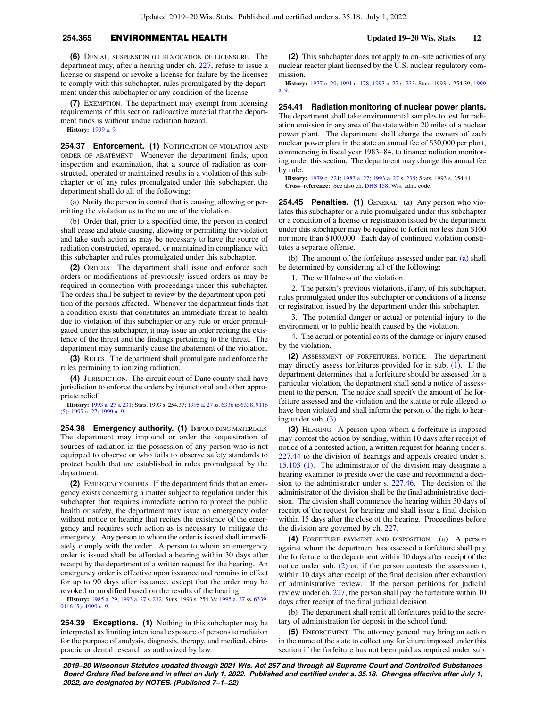## **254.365** ENVIRONMENTAL HEALTH **Updated 19−20 Wis. Stats. 12**

**(6)** DENIAL, SUSPENSION OR REVOCATION OF LICENSURE. The department may, after a hearing under ch. [227](https://docs.legis.wisconsin.gov/document/statutes/ch.%20227), refuse to issue a license or suspend or revoke a license for failure by the licensee to comply with this subchapter, rules promulgated by the department under this subchapter or any condition of the license.

**(7)** EXEMPTION. The department may exempt from licensing requirements of this section radioactive material that the department finds is without undue radiation hazard.

**History:** [1999 a. 9](https://docs.legis.wisconsin.gov/document/acts/1999/9).

**254.37 Enforcement. (1)** NOTIFICATION OF VIOLATION AND ORDER OF ABATEMENT. Whenever the department finds, upon inspection and examination, that a source of radiation as constructed, operated or maintained results in a violation of this subchapter or of any rules promulgated under this subchapter, the department shall do all of the following:

(a) Notify the person in control that is causing, allowing or permitting the violation as to the nature of the violation.

(b) Order that, prior to a specified time, the person in control shall cease and abate causing, allowing or permitting the violation and take such action as may be necessary to have the source of radiation constructed, operated, or maintained in compliance with this subchapter and rules promulgated under this subchapter.

**(2)** ORDERS. The department shall issue and enforce such orders or modifications of previously issued orders as may be required in connection with proceedings under this subchapter. The orders shall be subject to review by the department upon petition of the persons affected. Whenever the department finds that a condition exists that constitutes an immediate threat to health due to violation of this subchapter or any rule or order promulgated under this subchapter, it may issue an order reciting the existence of the threat and the findings pertaining to the threat. The department may summarily cause the abatement of the violation.

**(3)** RULES. The department shall promulgate and enforce the rules pertaining to ionizing radiation.

**(4)** JURISDICTION. The circuit court of Dane county shall have jurisdiction to enforce the orders by injunctional and other appropriate relief.

**History:** [1993 a. 27](https://docs.legis.wisconsin.gov/document/acts/1993/27) s. [231](https://docs.legis.wisconsin.gov/document/acts/1993/27,%20s.%20231); Stats. 1993 s. 254.37; [1995 a. 27](https://docs.legis.wisconsin.gov/document/acts/1995/27) ss. [6336](https://docs.legis.wisconsin.gov/document/acts/1995/27,%20s.%206336) to [6338](https://docs.legis.wisconsin.gov/document/acts/1995/27,%20s.%206338), [9116](https://docs.legis.wisconsin.gov/document/acts/1995/27,%20s.%209116) [\(5\);](https://docs.legis.wisconsin.gov/document/acts/1995/27,%20s.%209116) [1997 a. 27](https://docs.legis.wisconsin.gov/document/acts/1997/27); [1999 a. 9.](https://docs.legis.wisconsin.gov/document/acts/1999/9)

**254.38 Emergency authority. (1)** IMPOUNDING MATERIALS. The department may impound or order the sequestration of sources of radiation in the possession of any person who is not equipped to observe or who fails to observe safety standards to protect health that are established in rules promulgated by the department.

**(2)** EMERGENCY ORDERS. If the department finds that an emergency exists concerning a matter subject to regulation under this subchapter that requires immediate action to protect the public health or safety, the department may issue an emergency order without notice or hearing that recites the existence of the emergency and requires such action as is necessary to mitigate the emergency. Any person to whom the order is issued shall immediately comply with the order. A person to whom an emergency order is issued shall be afforded a hearing within 30 days after receipt by the department of a written request for the hearing. An emergency order is effective upon issuance and remains in effect for up to 90 days after issuance, except that the order may be revoked or modified based on the results of the hearing.

**History:** [1985 a. 29](https://docs.legis.wisconsin.gov/document/acts/1985/29); [1993 a. 27](https://docs.legis.wisconsin.gov/document/acts/1993/27) s. [232](https://docs.legis.wisconsin.gov/document/acts/1993/27,%20s.%20232); Stats. 1993 s. 254.38; [1995 a. 27](https://docs.legis.wisconsin.gov/document/acts/1995/27) ss. [6339](https://docs.legis.wisconsin.gov/document/acts/1995/27,%20s.%206339), [9116 \(5\)](https://docs.legis.wisconsin.gov/document/acts/1995/27,%20s.%209116); [1999 a. 9](https://docs.legis.wisconsin.gov/document/acts/1999/9).

**254.39 Exceptions. (1)** Nothing in this subchapter may be interpreted as limiting intentional exposure of persons to radiation for the purpose of analysis, diagnosis, therapy, and medical, chiropractic or dental research as authorized by law.

**(2)** This subchapter does not apply to on−site activities of any nuclear reactor plant licensed by the U.S. nuclear regulatory commission.

**History:** [1977 c. 29;](https://docs.legis.wisconsin.gov/document/acts/1977/29) [1991 a. 178](https://docs.legis.wisconsin.gov/document/acts/1991/178); [1993 a. 27](https://docs.legis.wisconsin.gov/document/acts/1993/27) s. [233;](https://docs.legis.wisconsin.gov/document/acts/1993/27,%20s.%20233) Stats. 1993 s. 254.39; [1999](https://docs.legis.wisconsin.gov/document/acts/1999/9) [a. 9](https://docs.legis.wisconsin.gov/document/acts/1999/9).

**254.41 Radiation monitoring of nuclear power plants.** The department shall take environmental samples to test for radiation emission in any area of the state within 20 miles of a nuclear power plant. The department shall charge the owners of each nuclear power plant in the state an annual fee of \$30,000 per plant, commencing in fiscal year 1983−84, to finance radiation monitoring under this section. The department may change this annual fee by rule.

**History:** [1979 c. 221;](https://docs.legis.wisconsin.gov/document/acts/1979/221) [1983 a. 27;](https://docs.legis.wisconsin.gov/document/acts/1983/27) [1993 a. 27](https://docs.legis.wisconsin.gov/document/acts/1993/27) s. [235](https://docs.legis.wisconsin.gov/document/acts/1993/27,%20s.%20235); Stats. 1993 s. 254.41. **Cross−reference:** See also ch. [DHS 158,](https://docs.legis.wisconsin.gov/document/administrativecode/ch.%20DHS%20158) Wis. adm. code.

**254.45 Penalties. (1)** GENERAL. (a) Any person who violates this subchapter or a rule promulgated under this subchapter or a condition of a license or registration issued by the department under this subchapter may be required to forfeit not less than \$100 nor more than \$100,000. Each day of continued violation constitutes a separate offense.

(b) The amount of the forfeiture assessed under par. [\(a\)](https://docs.legis.wisconsin.gov/document/statutes/254.45(1)(a)) shall be determined by considering all of the following:

1. The willfulness of the violation.

2. The person's previous violations, if any, of this subchapter, rules promulgated under this subchapter or conditions of a license or registration issued by the department under this subchapter.

3. The potential danger or actual or potential injury to the environment or to public health caused by the violation.

4. The actual or potential costs of the damage or injury caused by the violation.

**(2)** ASSESSMENT OF FORFEITURES; NOTICE. The department may directly assess forfeitures provided for in sub. [\(1\).](https://docs.legis.wisconsin.gov/document/statutes/254.45(1)) If the department determines that a forfeiture should be assessed for a particular violation, the department shall send a notice of assessment to the person. The notice shall specify the amount of the forfeiture assessed and the violation and the statute or rule alleged to have been violated and shall inform the person of the right to hearing under sub. [\(3\)](https://docs.legis.wisconsin.gov/document/statutes/254.45(3)).

**(3)** HEARING. A person upon whom a forfeiture is imposed may contest the action by sending, within 10 days after receipt of notice of a contested action, a written request for hearing under s. [227.44](https://docs.legis.wisconsin.gov/document/statutes/227.44) to the division of hearings and appeals created under s. [15.103 \(1\).](https://docs.legis.wisconsin.gov/document/statutes/15.103(1)) The administrator of the division may designate a hearing examiner to preside over the case and recommend a decision to the administrator under s. [227.46](https://docs.legis.wisconsin.gov/document/statutes/227.46). The decision of the administrator of the division shall be the final administrative decision. The division shall commence the hearing within 30 days of receipt of the request for hearing and shall issue a final decision within 15 days after the close of the hearing. Proceedings before the division are governed by ch. [227](https://docs.legis.wisconsin.gov/document/statutes/ch.%20227).

**(4)** FORFEITURE PAYMENT AND DISPOSITION. (a) A person against whom the department has assessed a forfeiture shall pay the forfeiture to the department within 10 days after receipt of the notice under sub. [\(2\)](https://docs.legis.wisconsin.gov/document/statutes/254.45(2)) or, if the person contests the assessment, within 10 days after receipt of the final decision after exhaustion of administrative review. If the person petitions for judicial review under ch. [227](https://docs.legis.wisconsin.gov/document/statutes/ch.%20227), the person shall pay the forfeiture within 10 days after receipt of the final judicial decision.

(b) The department shall remit all forfeitures paid to the secretary of administration for deposit in the school fund.

**(5)** ENFORCEMENT. The attorney general may bring an action in the name of the state to collect any forfeiture imposed under this section if the forfeiture has not been paid as required under sub.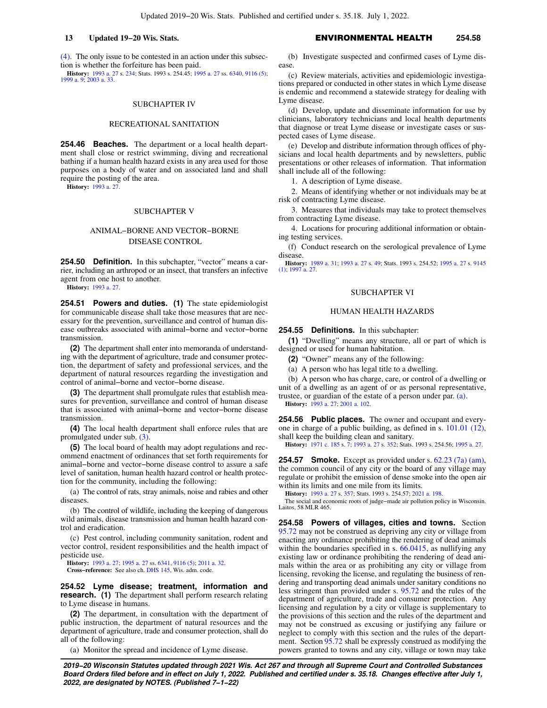[\(4\)](https://docs.legis.wisconsin.gov/document/statutes/254.45(4)). The only issue to be contested in an action under this subsection is whether the forfeiture has been paid.

**History:** [1993 a. 27](https://docs.legis.wisconsin.gov/document/acts/1993/27) s. [234](https://docs.legis.wisconsin.gov/document/acts/1993/27,%20s.%20234); Stats. 1993 s. 254.45; [1995 a. 27](https://docs.legis.wisconsin.gov/document/acts/1995/27) ss. [6340,](https://docs.legis.wisconsin.gov/document/acts/1995/27,%20s.%206340) [9116 \(5\)](https://docs.legis.wisconsin.gov/document/acts/1995/27,%20s.%209116); [1999 a. 9;](https://docs.legis.wisconsin.gov/document/acts/1999/9) [2003 a. 33.](https://docs.legis.wisconsin.gov/document/acts/2003/33)

## SUBCHAPTER IV

#### RECREATIONAL SANITATION

**254.46 Beaches.** The department or a local health department shall close or restrict swimming, diving and recreational bathing if a human health hazard exists in any area used for those purposes on a body of water and on associated land and shall require the posting of the area.

**History:** [1993 a. 27.](https://docs.legis.wisconsin.gov/document/acts/1993/27)

#### SUBCHAPTER V

# ANIMAL−BORNE AND VECTOR−BORNE DISEASE CONTROL

**254.50 Definition.** In this subchapter, "vector" means a carrier, including an arthropod or an insect, that transfers an infective agent from one host to another.

**History:** [1993 a. 27.](https://docs.legis.wisconsin.gov/document/acts/1993/27)

**254.51 Powers and duties. (1)** The state epidemiologist for communicable disease shall take those measures that are necessary for the prevention, surveillance and control of human disease outbreaks associated with animal−borne and vector−borne transmission.

**(2)** The department shall enter into memoranda of understanding with the department of agriculture, trade and consumer protection, the department of safety and professional services, and the department of natural resources regarding the investigation and control of animal−borne and vector−borne disease.

**(3)** The department shall promulgate rules that establish measures for prevention, surveillance and control of human disease that is associated with animal−borne and vector−borne disease transmission.

**(4)** The local health department shall enforce rules that are promulgated under sub. [\(3\)](https://docs.legis.wisconsin.gov/document/statutes/254.51(3)).

**(5)** The local board of health may adopt regulations and recommend enactment of ordinances that set forth requirements for animal−borne and vector−borne disease control to assure a safe level of sanitation, human health hazard control or health protection for the community, including the following:

(a) The control of rats, stray animals, noise and rabies and other diseases.

(b) The control of wildlife, including the keeping of dangerous wild animals, disease transmission and human health hazard control and eradication.

(c) Pest control, including community sanitation, rodent and vector control, resident responsibilities and the health impact of pesticide use.

**History:** [1993 a. 27;](https://docs.legis.wisconsin.gov/document/acts/1993/27) [1995 a. 27](https://docs.legis.wisconsin.gov/document/acts/1995/27) ss. [6341,](https://docs.legis.wisconsin.gov/document/acts/1995/27,%20s.%206341) [9116 \(5\);](https://docs.legis.wisconsin.gov/document/acts/1995/27,%20s.%209116) [2011 a. 32.](https://docs.legis.wisconsin.gov/document/acts/2011/32) **Cross−reference:** See also ch. [DHS 145](https://docs.legis.wisconsin.gov/document/administrativecode/ch.%20DHS%20145), Wis. adm. code.

**254.52 Lyme disease; treatment, information and research. (1)** The department shall perform research relating to Lyme disease in humans.

**(2)** The department, in consultation with the department of public instruction, the department of natural resources and the department of agriculture, trade and consumer protection, shall do all of the following:

(a) Monitor the spread and incidence of Lyme disease.

## **13 Updated 19−20 Wis. Stats.** ENVIRONMENTAL HEALTH **254.58**

(b) Investigate suspected and confirmed cases of Lyme disease.

(c) Review materials, activities and epidemiologic investigations prepared or conducted in other states in which Lyme disease is endemic and recommend a statewide strategy for dealing with Lyme disease.

(d) Develop, update and disseminate information for use by clinicians, laboratory technicians and local health departments that diagnose or treat Lyme disease or investigate cases or suspected cases of Lyme disease.

(e) Develop and distribute information through offices of physicians and local health departments and by newsletters, public presentations or other releases of information. That information shall include all of the following:

1. A description of Lyme disease.

2. Means of identifying whether or not individuals may be at risk of contracting Lyme disease.

3. Measures that individuals may take to protect themselves from contracting Lyme disease.

4. Locations for procuring additional information or obtaining testing services.

(f) Conduct research on the serological prevalence of Lyme disease.

**History:** [1989 a. 31;](https://docs.legis.wisconsin.gov/document/acts/1989/31) [1993 a. 27](https://docs.legis.wisconsin.gov/document/acts/1993/27) s. [49](https://docs.legis.wisconsin.gov/document/acts/1993/27,%20s.%2049); Stats. 1993 s. 254.52; [1995 a. 27](https://docs.legis.wisconsin.gov/document/acts/1995/27) s. [9145](https://docs.legis.wisconsin.gov/document/acts/1995/27,%20s.%209145) [\(1\)](https://docs.legis.wisconsin.gov/document/acts/1995/27,%20s.%209145); [1997 a. 27](https://docs.legis.wisconsin.gov/document/acts/1997/27).

#### SUBCHAPTER VI

#### HUMAN HEALTH HAZARDS

**254.55 Definitions.** In this subchapter:

**(1)** "Dwelling" means any structure, all or part of which is designed or used for human habitation.

**(2)** "Owner" means any of the following:

(a) A person who has legal title to a dwelling.

(b) A person who has charge, care, or control of a dwelling or unit of a dwelling as an agent of or as personal representative, trustee, or guardian of the estate of a person under par. [\(a\)](https://docs.legis.wisconsin.gov/document/statutes/254.55(2)(a)).

**History:** [1993 a. 27](https://docs.legis.wisconsin.gov/document/acts/1993/27); [2001 a. 102.](https://docs.legis.wisconsin.gov/document/acts/2001/102)

**254.56 Public places.** The owner and occupant and everyone in charge of a public building, as defined in s. [101.01 \(12\),](https://docs.legis.wisconsin.gov/document/statutes/101.01(12)) shall keep the building clean and sanitary.

**History:** [1971 c. 185](https://docs.legis.wisconsin.gov/document/acts/1971/185) s. [7](https://docs.legis.wisconsin.gov/document/acts/1971/185,%20s.%207); [1993 a. 27](https://docs.legis.wisconsin.gov/document/acts/1993/27) s. [352;](https://docs.legis.wisconsin.gov/document/acts/1993/27,%20s.%20352) Stats. 1993 s. 254.56; [1995 a. 27](https://docs.legis.wisconsin.gov/document/acts/1995/27).

**254.57 Smoke.** Except as provided under s. [62.23 \(7a\) \(am\),](https://docs.legis.wisconsin.gov/document/statutes/62.23(7a)(am)) the common council of any city or the board of any village may regulate or prohibit the emission of dense smoke into the open air within its limits and one mile from its limits.

**History:** [1993 a. 27](https://docs.legis.wisconsin.gov/document/acts/1993/27) s. [357;](https://docs.legis.wisconsin.gov/document/acts/1993/27,%20s.%20357) Stats. 1993 s. 254.57; [2021 a. 198](https://docs.legis.wisconsin.gov/document/acts/2021/198).

The social and economic roots of judge−made air pollution policy in Wisconsin. Laitos, 58 MLR 465.

**254.58 Powers of villages, cities and towns.** Section [95.72](https://docs.legis.wisconsin.gov/document/statutes/95.72) may not be construed as depriving any city or village from enacting any ordinance prohibiting the rendering of dead animals within the boundaries specified in s. [66.0415](https://docs.legis.wisconsin.gov/document/statutes/66.0415), as nullifying any existing law or ordinance prohibiting the rendering of dead animals within the area or as prohibiting any city or village from licensing, revoking the license, and regulating the business of rendering and transporting dead animals under sanitary conditions no less stringent than provided under s. [95.72](https://docs.legis.wisconsin.gov/document/statutes/95.72) and the rules of the department of agriculture, trade and consumer protection. Any licensing and regulation by a city or village is supplementary to the provisions of this section and the rules of the department and may not be construed as excusing or justifying any failure or neglect to comply with this section and the rules of the department. Section [95.72](https://docs.legis.wisconsin.gov/document/statutes/95.72) shall be expressly construed as modifying the powers granted to towns and any city, village or town may take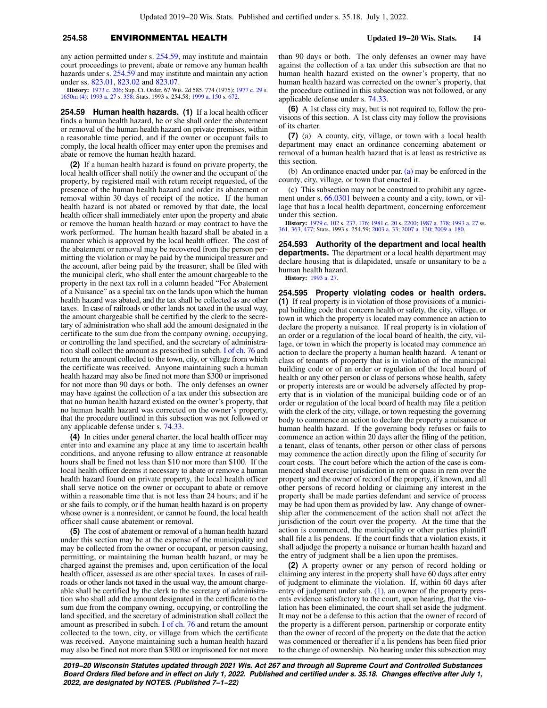## **254.58** ENVIRONMENTAL HEALTH **Updated 19−20 Wis. Stats. 14**

any action permitted under s. [254.59,](https://docs.legis.wisconsin.gov/document/statutes/254.59) may institute and maintain court proceedings to prevent, abate or remove any human health hazards under s. [254.59](https://docs.legis.wisconsin.gov/document/statutes/254.59) and may institute and maintain any action under ss. [823.01](https://docs.legis.wisconsin.gov/document/statutes/823.01), [823.02](https://docs.legis.wisconsin.gov/document/statutes/823.02) and [823.07](https://docs.legis.wisconsin.gov/document/statutes/823.07).

**History:** [1973 c. 206](https://docs.legis.wisconsin.gov/document/acts/1973/206); Sup. Ct. Order, 67 Wis. 2d 585, 774 (1975); [1977 c. 29](https://docs.legis.wisconsin.gov/document/acts/1977/29) s. [1650m \(4\)](https://docs.legis.wisconsin.gov/document/acts/1977/29,%20s.%201650m); [1993 a. 27](https://docs.legis.wisconsin.gov/document/acts/1993/27) s. [358;](https://docs.legis.wisconsin.gov/document/acts/1993/27,%20s.%20358) Stats. 1993 s. 254.58; [1999 a. 150](https://docs.legis.wisconsin.gov/document/acts/1999/150) s. [672](https://docs.legis.wisconsin.gov/document/acts/1999/150,%20s.%20672).

**254.59 Human health hazards. (1)** If a local health officer finds a human health hazard, he or she shall order the abatement or removal of the human health hazard on private premises, within a reasonable time period, and if the owner or occupant fails to comply, the local health officer may enter upon the premises and abate or remove the human health hazard.

**(2)** If a human health hazard is found on private property, the local health officer shall notify the owner and the occupant of the property, by registered mail with return receipt requested, of the presence of the human health hazard and order its abatement or removal within 30 days of receipt of the notice. If the human health hazard is not abated or removed by that date, the local health officer shall immediately enter upon the property and abate or remove the human health hazard or may contract to have the work performed. The human health hazard shall be abated in a manner which is approved by the local health officer. The cost of the abatement or removal may be recovered from the person permitting the violation or may be paid by the municipal treasurer and the account, after being paid by the treasurer, shall be filed with the municipal clerk, who shall enter the amount chargeable to the property in the next tax roll in a column headed "For Abatement of a Nuisance" as a special tax on the lands upon which the human health hazard was abated, and the tax shall be collected as are other taxes. In case of railroads or other lands not taxed in the usual way, the amount chargeable shall be certified by the clerk to the secretary of administration who shall add the amount designated in the certificate to the sum due from the company owning, occupying, or controlling the land specified, and the secretary of administration shall collect the amount as prescribed in subch. [I of ch. 76](https://docs.legis.wisconsin.gov/document/statutes/subch.%20I%20of%20ch.%2076) and return the amount collected to the town, city, or village from which the certificate was received. Anyone maintaining such a human health hazard may also be fined not more than \$300 or imprisoned for not more than 90 days or both. The only defenses an owner may have against the collection of a tax under this subsection are that no human health hazard existed on the owner's property, that no human health hazard was corrected on the owner's property, that the procedure outlined in this subsection was not followed or any applicable defense under s. [74.33.](https://docs.legis.wisconsin.gov/document/statutes/74.33)

**(4)** In cities under general charter, the local health officer may enter into and examine any place at any time to ascertain health conditions, and anyone refusing to allow entrance at reasonable hours shall be fined not less than \$10 nor more than \$100. If the local health officer deems it necessary to abate or remove a human health hazard found on private property, the local health officer shall serve notice on the owner or occupant to abate or remove within a reasonable time that is not less than 24 hours; and if he or she fails to comply, or if the human health hazard is on property whose owner is a nonresident, or cannot be found, the local health officer shall cause abatement or removal.

**(5)** The cost of abatement or removal of a human health hazard under this section may be at the expense of the municipality and may be collected from the owner or occupant, or person causing, permitting, or maintaining the human health hazard, or may be charged against the premises and, upon certification of the local health officer, assessed as are other special taxes. In cases of railroads or other lands not taxed in the usual way, the amount chargeable shall be certified by the clerk to the secretary of administration who shall add the amount designated in the certificate to the sum due from the company owning, occupying, or controlling the land specified, and the secretary of administration shall collect the amount as prescribed in subch. [I of ch. 76](https://docs.legis.wisconsin.gov/document/statutes/subch.%20I%20of%20ch.%2076) and return the amount collected to the town, city, or village from which the certificate was received. Anyone maintaining such a human health hazard may also be fined not more than \$300 or imprisoned for not more

than 90 days or both. The only defenses an owner may have against the collection of a tax under this subsection are that no human health hazard existed on the owner's property, that no human health hazard was corrected on the owner's property, that the procedure outlined in this subsection was not followed, or any applicable defense under s. [74.33.](https://docs.legis.wisconsin.gov/document/statutes/74.33)

**(6)** A 1st class city may, but is not required to, follow the provisions of this section. A 1st class city may follow the provisions of its charter.

**(7)** (a) A county, city, village, or town with a local health department may enact an ordinance concerning abatement or removal of a human health hazard that is at least as restrictive as this section.

(b) An ordinance enacted under par. [\(a\)](https://docs.legis.wisconsin.gov/document/statutes/254.59(7)(a)) may be enforced in the county, city, village, or town that enacted it.

(c) This subsection may not be construed to prohibit any agreement under s. [66.0301](https://docs.legis.wisconsin.gov/document/statutes/66.0301) between a county and a city, town, or village that has a local health department, concerning enforcement under this section.

**History:** [1979 c. 102](https://docs.legis.wisconsin.gov/document/acts/1979/102) s. [237](https://docs.legis.wisconsin.gov/document/acts/1979/102,%20s.%20237), [176;](https://docs.legis.wisconsin.gov/document/acts/1979/102,%20s.%20176) [1981 c. 20](https://docs.legis.wisconsin.gov/document/acts/1981/20) s. [2200](https://docs.legis.wisconsin.gov/document/acts/1981/20,%20s.%202200); [1987 a. 378;](https://docs.legis.wisconsin.gov/document/acts/1987/378) [1993 a. 27](https://docs.legis.wisconsin.gov/document/acts/1993/27) ss. [361,](https://docs.legis.wisconsin.gov/document/acts/1993/27,%20s.%20361) [363,](https://docs.legis.wisconsin.gov/document/acts/1993/27,%20s.%20363) [477;](https://docs.legis.wisconsin.gov/document/acts/1993/27,%20s.%20477) Stats. 1993 s. 254.59; [2003 a. 33;](https://docs.legis.wisconsin.gov/document/acts/2003/33) [2007 a. 130;](https://docs.legis.wisconsin.gov/document/acts/2007/130) [2009 a. 180](https://docs.legis.wisconsin.gov/document/acts/2009/180).

**254.593 Authority of the department and local health departments.** The department or a local health department may declare housing that is dilapidated, unsafe or unsanitary to be a human health hazard. **History:** [1993 a. 27](https://docs.legis.wisconsin.gov/document/acts/1993/27).

**254.595 Property violating codes or health orders. (1)** If real property is in violation of those provisions of a municipal building code that concern health or safety, the city, village, or town in which the property is located may commence an action to declare the property a nuisance. If real property is in violation of an order or a regulation of the local board of health, the city, village, or town in which the property is located may commence an action to declare the property a human health hazard. A tenant or class of tenants of property that is in violation of the municipal building code or of an order or regulation of the local board of health or any other person or class of persons whose health, safety or property interests are or would be adversely affected by property that is in violation of the municipal building code or of an order or regulation of the local board of health may file a petition with the clerk of the city, village, or town requesting the governing body to commence an action to declare the property a nuisance or human health hazard. If the governing body refuses or fails to commence an action within 20 days after the filing of the petition, a tenant, class of tenants, other person or other class of persons may commence the action directly upon the filing of security for court costs. The court before which the action of the case is commenced shall exercise jurisdiction in rem or quasi in rem over the property and the owner of record of the property, if known, and all other persons of record holding or claiming any interest in the property shall be made parties defendant and service of process may be had upon them as provided by law. Any change of ownership after the commencement of the action shall not affect the jurisdiction of the court over the property. At the time that the action is commenced, the municipality or other parties plaintiff shall file a lis pendens. If the court finds that a violation exists, it shall adjudge the property a nuisance or human health hazard and the entry of judgment shall be a lien upon the premises.

**(2)** A property owner or any person of record holding or claiming any interest in the property shall have 60 days after entry of judgment to eliminate the violation. If, within 60 days after entry of judgment under sub.  $(1)$ , an owner of the property presents evidence satisfactory to the court, upon hearing, that the violation has been eliminated, the court shall set aside the judgment. It may not be a defense to this action that the owner of record of the property is a different person, partnership or corporate entity than the owner of record of the property on the date that the action was commenced or thereafter if a lis pendens has been filed prior to the change of ownership. No hearing under this subsection may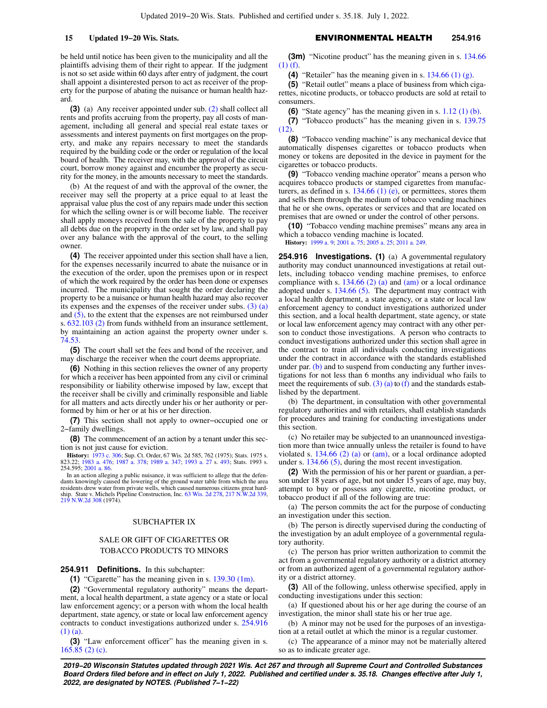be held until notice has been given to the municipality and all the plaintiffs advising them of their right to appear. If the judgment is not so set aside within 60 days after entry of judgment, the court shall appoint a disinterested person to act as receiver of the property for the purpose of abating the nuisance or human health hazard.

**(3)** (a) Any receiver appointed under sub. [\(2\)](https://docs.legis.wisconsin.gov/document/statutes/254.595(2)) shall collect all rents and profits accruing from the property, pay all costs of management, including all general and special real estate taxes or assessments and interest payments on first mortgages on the property, and make any repairs necessary to meet the standards required by the building code or the order or regulation of the local board of health. The receiver may, with the approval of the circuit court, borrow money against and encumber the property as security for the money, in the amounts necessary to meet the standards.

(b) At the request of and with the approval of the owner, the receiver may sell the property at a price equal to at least the appraisal value plus the cost of any repairs made under this section for which the selling owner is or will become liable. The receiver shall apply moneys received from the sale of the property to pay all debts due on the property in the order set by law, and shall pay over any balance with the approval of the court, to the selling owner.

**(4)** The receiver appointed under this section shall have a lien, for the expenses necessarily incurred to abate the nuisance or in the execution of the order, upon the premises upon or in respect of which the work required by the order has been done or expenses incurred. The municipality that sought the order declaring the property to be a nuisance or human health hazard may also recover its expenses and the expenses of the receiver under subs.  $(3)$  (a) and [\(5\),](https://docs.legis.wisconsin.gov/document/statutes/254.595(5)) to the extent that the expenses are not reimbursed under s. [632.103 \(2\)](https://docs.legis.wisconsin.gov/document/statutes/632.103(2)) from funds withheld from an insurance settlement, by maintaining an action against the property owner under s. [74.53](https://docs.legis.wisconsin.gov/document/statutes/74.53).

**(5)** The court shall set the fees and bond of the receiver, and may discharge the receiver when the court deems appropriate.

**(6)** Nothing in this section relieves the owner of any property for which a receiver has been appointed from any civil or criminal responsibility or liability otherwise imposed by law, except that the receiver shall be civilly and criminally responsible and liable for all matters and acts directly under his or her authority or performed by him or her or at his or her direction.

**(7)** This section shall not apply to owner−occupied one or 2−family dwellings.

**(8)** The commencement of an action by a tenant under this section is not just cause for eviction.

**History:** [1973 c. 306;](https://docs.legis.wisconsin.gov/document/acts/1973/306) Sup. Ct. Order, 67 Wis. 2d 585, 762 (1975); Stats. 1975 s. 823.22; [1983 a. 476;](https://docs.legis.wisconsin.gov/document/acts/1983/476) [1987 a. 378](https://docs.legis.wisconsin.gov/document/acts/1987/378); [1989 a. 347;](https://docs.legis.wisconsin.gov/document/acts/1989/347) [1993 a. 27](https://docs.legis.wisconsin.gov/document/acts/1993/27) s. [493](https://docs.legis.wisconsin.gov/document/acts/1993/27,%20s.%20493); Stats. 1993 s. 254.595; [2001 a. 86.](https://docs.legis.wisconsin.gov/document/acts/2001/86)

In an action alleging a public nuisance, it was sufficient to allege that the defendants knowingly caused the lowering of the ground water table from which the area residents drew water from private wells, which caused numerous citizens great hard-ship. State v. Michels Pipeline Construction, Inc. [63 Wis. 2d 278](https://docs.legis.wisconsin.gov/document/courts/63%20Wis.%202d%20278), [217 N.W.2d 339](https://docs.legis.wisconsin.gov/document/courts/217%20N.W.2d%20339), [219 N.W.2d 308](https://docs.legis.wisconsin.gov/document/courts/219%20N.W.2d%20308) (1974).

#### SUBCHAPTER IX

## SALE OR GIFT OF CIGARETTES OR TOBACCO PRODUCTS TO MINORS

**254.911 Definitions.** In this subchapter:

**(1)** "Cigarette" has the meaning given in s. [139.30 \(1m\)](https://docs.legis.wisconsin.gov/document/statutes/139.30(1m)).

**(2)** "Governmental regulatory authority" means the department, a local health department, a state agency or a state or local law enforcement agency; or a person with whom the local health department, state agency, or state or local law enforcement agency contracts to conduct investigations authorized under s. [254.916](https://docs.legis.wisconsin.gov/document/statutes/254.916(1)(a)) [\(1\) \(a\).](https://docs.legis.wisconsin.gov/document/statutes/254.916(1)(a))

**(3)** "Law enforcement officer" has the meaning given in s. [165.85 \(2\) \(c\).](https://docs.legis.wisconsin.gov/document/statutes/165.85(2)(c))

**(3m)** "Nicotine product" has the meaning given in s. [134.66](https://docs.legis.wisconsin.gov/document/statutes/134.66(1)(f)) [\(1\) \(f\).](https://docs.legis.wisconsin.gov/document/statutes/134.66(1)(f))

**(4)** "Retailer" has the meaning given in s. [134.66 \(1\) \(g\).](https://docs.legis.wisconsin.gov/document/statutes/134.66(1)(g))

**(5)** "Retail outlet" means a place of business from which cigarettes, nicotine products, or tobacco products are sold at retail to consumers.

**(6)** "State agency" has the meaning given in s. [1.12 \(1\) \(b\).](https://docs.legis.wisconsin.gov/document/statutes/1.12(1)(b))

**(7)** "Tobacco products" has the meaning given in s. [139.75](https://docs.legis.wisconsin.gov/document/statutes/139.75(12))  $(12)$ .

**(8)** "Tobacco vending machine" is any mechanical device that automatically dispenses cigarettes or tobacco products when money or tokens are deposited in the device in payment for the cigarettes or tobacco products.

**(9)** "Tobacco vending machine operator" means a person who acquires tobacco products or stamped cigarettes from manufacturers, as defined in s.  $134.66$  (1) (e), or permittees, stores them and sells them through the medium of tobacco vending machines that he or she owns, operates or services and that are located on premises that are owned or under the control of other persons.

**(10)** "Tobacco vending machine premises" means any area in which a tobacco vending machine is located.

**History:** [1999 a. 9;](https://docs.legis.wisconsin.gov/document/acts/1999/9) [2001 a. 75;](https://docs.legis.wisconsin.gov/document/acts/2001/75) [2005 a. 25;](https://docs.legis.wisconsin.gov/document/acts/2005/25) [2011 a. 249](https://docs.legis.wisconsin.gov/document/acts/2011/249).

**254.916 Investigations. (1)** (a) A governmental regulatory authority may conduct unannounced investigations at retail outlets, including tobacco vending machine premises, to enforce compliance with s.  $134.66$  (2) (a) and [\(am\)](https://docs.legis.wisconsin.gov/document/statutes/134.66(2)(am)) or a local ordinance adopted under s. [134.66 \(5\)](https://docs.legis.wisconsin.gov/document/statutes/134.66(5)). The department may contract with a local health department, a state agency, or a state or local law enforcement agency to conduct investigations authorized under this section, and a local health department, state agency, or state or local law enforcement agency may contract with any other person to conduct those investigations. A person who contracts to conduct investigations authorized under this section shall agree in the contract to train all individuals conducting investigations under the contract in accordance with the standards established under par. [\(b\)](https://docs.legis.wisconsin.gov/document/statutes/254.916(1)(b)) and to suspend from conducting any further investigations for not less than 6 months any individual who fails to meet the requirements of sub.  $(3)$  (a) to [\(f\)](https://docs.legis.wisconsin.gov/document/statutes/254.916(3)(f)) and the standards established by the department.

(b) The department, in consultation with other governmental regulatory authorities and with retailers, shall establish standards for procedures and training for conducting investigations under this section.

(c) No retailer may be subjected to an unannounced investigation more than twice annually unless the retailer is found to have violated s.  $134.66$  (2) (a) or [\(am\)](https://docs.legis.wisconsin.gov/document/statutes/134.66(2)(am)), or a local ordinance adopted under s. [134.66 \(5\),](https://docs.legis.wisconsin.gov/document/statutes/134.66(5)) during the most recent investigation.

**(2)** With the permission of his or her parent or guardian, a person under 18 years of age, but not under 15 years of age, may buy, attempt to buy or possess any cigarette, nicotine product, or tobacco product if all of the following are true:

(a) The person commits the act for the purpose of conducting an investigation under this section.

(b) The person is directly supervised during the conducting of the investigation by an adult employee of a governmental regulatory authority.

(c) The person has prior written authorization to commit the act from a governmental regulatory authority or a district attorney or from an authorized agent of a governmental regulatory authority or a district attorney.

**(3)** All of the following, unless otherwise specified, apply in conducting investigations under this section:

(a) If questioned about his or her age during the course of an investigation, the minor shall state his or her true age.

(b) A minor may not be used for the purposes of an investigation at a retail outlet at which the minor is a regular customer.

(c) The appearance of a minor may not be materially altered so as to indicate greater age.